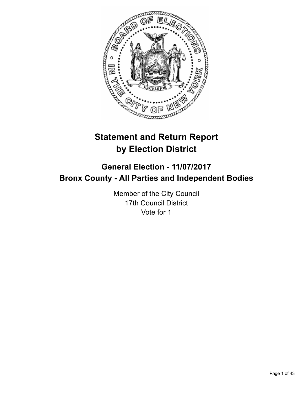

# **Statement and Return Report by Election District**

# **General Election - 11/07/2017 Bronx County - All Parties and Independent Bodies**

Member of the City Council 17th Council District Vote for 1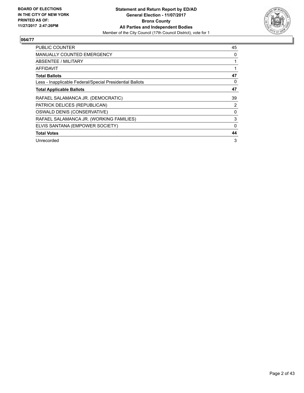

| <b>PUBLIC COUNTER</b>                                    | 45 |
|----------------------------------------------------------|----|
| <b>MANUALLY COUNTED EMERGENCY</b>                        | 0  |
| <b>ABSENTEE / MILITARY</b>                               |    |
| AFFIDAVIT                                                |    |
| <b>Total Ballots</b>                                     | 47 |
| Less - Inapplicable Federal/Special Presidential Ballots | 0  |
| <b>Total Applicable Ballots</b>                          | 47 |
| RAFAEL SALAMANCA JR. (DEMOCRATIC)                        | 39 |
| PATRICK DELICES (REPUBLICAN)                             | 2  |
| OSWALD DENIS (CONSERVATIVE)                              | 0  |
| RAFAEL SALAMANCA JR. (WORKING FAMILIES)                  | 3  |
| ELVIS SANTANA (EMPOWER SOCIETY)                          | 0  |
| <b>Total Votes</b>                                       | 44 |
| Unrecorded                                               | 3  |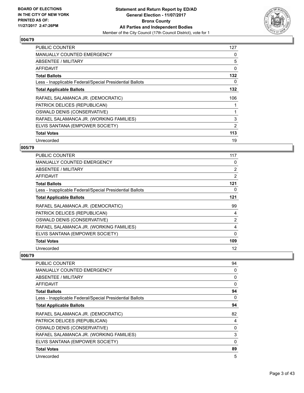

| <b>PUBLIC COUNTER</b>                                    | 127 |
|----------------------------------------------------------|-----|
| <b>MANUALLY COUNTED EMERGENCY</b>                        | 0   |
| ABSENTEE / MILITARY                                      | 5   |
| AFFIDAVIT                                                | 0   |
| <b>Total Ballots</b>                                     | 132 |
| Less - Inapplicable Federal/Special Presidential Ballots | 0   |
| <b>Total Applicable Ballots</b>                          | 132 |
| RAFAEL SALAMANCA JR. (DEMOCRATIC)                        | 106 |
| PATRICK DELICES (REPUBLICAN)                             | 1   |
| OSWALD DENIS (CONSERVATIVE)                              | 1   |
| RAFAEL SALAMANCA JR. (WORKING FAMILIES)                  | 3   |
| ELVIS SANTANA (EMPOWER SOCIETY)                          | 2   |
| <b>Total Votes</b>                                       | 113 |
| Unrecorded                                               | 19  |

## **005/79**

| PUBLIC COUNTER                                           | 117            |
|----------------------------------------------------------|----------------|
| MANUALLY COUNTED EMERGENCY                               | 0              |
| ABSENTEE / MILITARY                                      | $\overline{2}$ |
| <b>AFFIDAVIT</b>                                         | $\overline{2}$ |
| <b>Total Ballots</b>                                     | 121            |
| Less - Inapplicable Federal/Special Presidential Ballots | 0              |
| <b>Total Applicable Ballots</b>                          | 121            |
| RAFAEL SALAMANCA JR. (DEMOCRATIC)                        | 99             |
| PATRICK DELICES (REPUBLICAN)                             | 4              |
| OSWALD DENIS (CONSERVATIVE)                              | $\overline{2}$ |
| RAFAEL SALAMANCA JR. (WORKING FAMILIES)                  | 4              |
| ELVIS SANTANA (EMPOWER SOCIETY)                          | 0              |
| <b>Total Votes</b>                                       | 109            |
| Unrecorded                                               | 12             |

| <b>PUBLIC COUNTER</b>                                    | 94       |
|----------------------------------------------------------|----------|
| <b>MANUALLY COUNTED EMERGENCY</b>                        | 0        |
| <b>ABSENTEE / MILITARY</b>                               | 0        |
| <b>AFFIDAVIT</b>                                         | 0        |
| <b>Total Ballots</b>                                     | 94       |
| Less - Inapplicable Federal/Special Presidential Ballots | 0        |
| <b>Total Applicable Ballots</b>                          | 94       |
| RAFAEL SALAMANCA JR. (DEMOCRATIC)                        | 82       |
| PATRICK DELICES (REPUBLICAN)                             | 4        |
| OSWALD DENIS (CONSERVATIVE)                              | 0        |
| RAFAEL SALAMANCA JR. (WORKING FAMILIES)                  | 3        |
| ELVIS SANTANA (EMPOWER SOCIETY)                          | $\Omega$ |
| <b>Total Votes</b>                                       | 89       |
| Unrecorded                                               | 5        |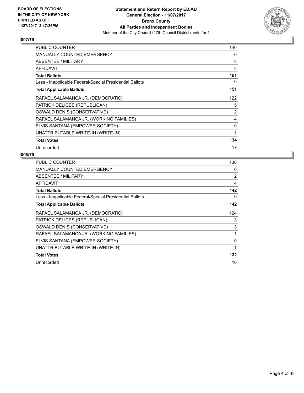

| <b>PUBLIC COUNTER</b>                                    | 140 |
|----------------------------------------------------------|-----|
| <b>MANUALLY COUNTED EMERGENCY</b>                        | 0   |
| ABSENTEE / MILITARY                                      | 8   |
| AFFIDAVIT                                                | 3   |
| <b>Total Ballots</b>                                     | 151 |
| Less - Inapplicable Federal/Special Presidential Ballots | 0   |
| <b>Total Applicable Ballots</b>                          | 151 |
| RAFAEL SALAMANCA JR. (DEMOCRATIC)                        | 122 |
| PATRICK DELICES (REPUBLICAN)                             | 5   |
| OSWALD DENIS (CONSERVATIVE)                              | 2   |
| RAFAEL SALAMANCA JR. (WORKING FAMILIES)                  | 4   |
| ELVIS SANTANA (EMPOWER SOCIETY)                          | 0   |
| UNATTRIBUTABLE WRITE-IN (WRITE-IN)                       | 1   |
| <b>Total Votes</b>                                       | 134 |
| Unrecorded                                               | 17  |

| <b>PUBLIC COUNTER</b>                                    | 136 |
|----------------------------------------------------------|-----|
| <b>MANUALLY COUNTED EMERGENCY</b>                        | 0   |
| ABSENTEE / MILITARY                                      | 2   |
| AFFIDAVIT                                                | 4   |
| <b>Total Ballots</b>                                     | 142 |
| Less - Inapplicable Federal/Special Presidential Ballots | 0   |
| <b>Total Applicable Ballots</b>                          | 142 |
| RAFAEL SALAMANCA JR. (DEMOCRATIC)                        | 124 |
| PATRICK DELICES (REPUBLICAN)                             | 3   |
| OSWALD DENIS (CONSERVATIVE)                              | 3   |
| RAFAEL SALAMANCA JR. (WORKING FAMILIES)                  | 1   |
| ELVIS SANTANA (EMPOWER SOCIETY)                          | 0   |
| UNATTRIBUTABLE WRITE-IN (WRITE-IN)                       | 1   |
| <b>Total Votes</b>                                       | 132 |
| Unrecorded                                               | 10  |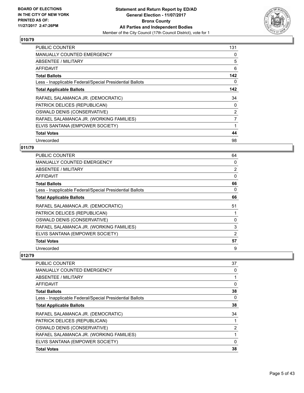

| <b>PUBLIC COUNTER</b>                                    | 131            |
|----------------------------------------------------------|----------------|
| <b>MANUALLY COUNTED EMERGENCY</b>                        | 0              |
| <b>ABSENTEE / MILITARY</b>                               | 5              |
| AFFIDAVIT                                                | 6              |
| <b>Total Ballots</b>                                     | 142            |
| Less - Inapplicable Federal/Special Presidential Ballots | 0              |
| <b>Total Applicable Ballots</b>                          | 142            |
| RAFAEL SALAMANCA JR. (DEMOCRATIC)                        | 34             |
| PATRICK DELICES (REPUBLICAN)                             | 0              |
| OSWALD DENIS (CONSERVATIVE)                              | $\overline{2}$ |
| RAFAEL SALAMANCA JR. (WORKING FAMILIES)                  | 7              |
| ELVIS SANTANA (EMPOWER SOCIETY)                          |                |
| <b>Total Votes</b>                                       | 44             |
|                                                          |                |

## **011/79**

| PUBLIC COUNTER                                           | 64             |
|----------------------------------------------------------|----------------|
| <b>MANUALLY COUNTED EMERGENCY</b>                        | 0              |
| ABSENTEE / MILITARY                                      | $\overline{2}$ |
| AFFIDAVIT                                                | 0              |
| <b>Total Ballots</b>                                     | 66             |
| Less - Inapplicable Federal/Special Presidential Ballots | 0              |
| <b>Total Applicable Ballots</b>                          | 66             |
| RAFAEL SALAMANCA JR. (DEMOCRATIC)                        | 51             |
| PATRICK DELICES (REPUBLICAN)                             |                |
| OSWALD DENIS (CONSERVATIVE)                              | 0              |
| RAFAEL SALAMANCA JR. (WORKING FAMILIES)                  | 3              |
| ELVIS SANTANA (EMPOWER SOCIETY)                          | 2              |
| <b>Total Votes</b>                                       | 57             |
| Unrecorded                                               | 9              |

| <b>PUBLIC COUNTER</b>                                    | 37 |
|----------------------------------------------------------|----|
| <b>MANUALLY COUNTED EMERGENCY</b>                        | 0  |
| ABSENTEE / MILITARY                                      |    |
| AFFIDAVIT                                                | 0  |
| <b>Total Ballots</b>                                     | 38 |
| Less - Inapplicable Federal/Special Presidential Ballots | 0  |
| <b>Total Applicable Ballots</b>                          | 38 |
| RAFAEL SALAMANCA JR. (DEMOCRATIC)                        | 34 |
| PATRICK DELICES (REPUBLICAN)                             |    |
| OSWALD DENIS (CONSERVATIVE)                              | 2  |
| RAFAEL SALAMANCA JR. (WORKING FAMILIES)                  |    |
| ELVIS SANTANA (EMPOWER SOCIETY)                          | 0  |
| <b>Total Votes</b>                                       | 38 |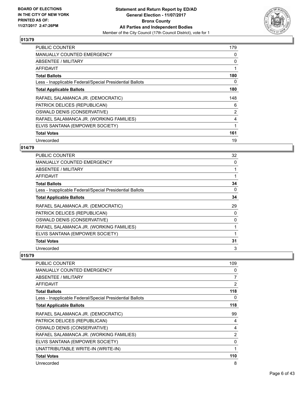

| <b>PUBLIC COUNTER</b>                                    | 179            |
|----------------------------------------------------------|----------------|
| <b>MANUALLY COUNTED EMERGENCY</b>                        | 0              |
| <b>ABSENTEE / MILITARY</b>                               | 0              |
| <b>AFFIDAVIT</b>                                         |                |
| <b>Total Ballots</b>                                     | 180            |
| Less - Inapplicable Federal/Special Presidential Ballots | 0              |
| <b>Total Applicable Ballots</b>                          | 180            |
| RAFAEL SALAMANCA JR. (DEMOCRATIC)                        | 148            |
| PATRICK DELICES (REPUBLICAN)                             | 6              |
| OSWALD DENIS (CONSERVATIVE)                              | $\overline{2}$ |
| RAFAEL SALAMANCA JR. (WORKING FAMILIES)                  | 4              |
| ELVIS SANTANA (EMPOWER SOCIETY)                          |                |
| <b>Total Votes</b>                                       | 161            |
| Unrecorded                                               | 19             |

## **014/79**

| <b>PUBLIC COUNTER</b>                                    | 32 |
|----------------------------------------------------------|----|
| <b>MANUALLY COUNTED EMERGENCY</b>                        | 0  |
| ABSENTEE / MILITARY                                      | 1  |
| AFFIDAVIT                                                | 1  |
| <b>Total Ballots</b>                                     | 34 |
| Less - Inapplicable Federal/Special Presidential Ballots | 0  |
| <b>Total Applicable Ballots</b>                          | 34 |
| RAFAEL SALAMANCA JR. (DEMOCRATIC)                        | 29 |
| PATRICK DELICES (REPUBLICAN)                             | 0  |
| OSWALD DENIS (CONSERVATIVE)                              | 0  |
| RAFAEL SALAMANCA JR. (WORKING FAMILIES)                  | 1  |
| ELVIS SANTANA (EMPOWER SOCIETY)                          | 1  |
| <b>Total Votes</b>                                       | 31 |
| Unrecorded                                               | 3  |

| PUBLIC COUNTER                                           | 109            |
|----------------------------------------------------------|----------------|
| <b>MANUALLY COUNTED EMERGENCY</b>                        | 0              |
| <b>ABSENTEE / MILITARY</b>                               | 7              |
| AFFIDAVIT                                                | 2              |
| <b>Total Ballots</b>                                     | 118            |
| Less - Inapplicable Federal/Special Presidential Ballots | 0              |
| <b>Total Applicable Ballots</b>                          | 118            |
| RAFAEL SALAMANCA JR. (DEMOCRATIC)                        | 99             |
| PATRICK DELICES (REPUBLICAN)                             | 4              |
| OSWALD DENIS (CONSERVATIVE)                              | 4              |
| RAFAEL SALAMANCA JR. (WORKING FAMILIES)                  | $\overline{2}$ |
| ELVIS SANTANA (EMPOWER SOCIETY)                          | 0              |
| UNATTRIBUTABLE WRITE-IN (WRITE-IN)                       | $\mathbf{1}$   |
| <b>Total Votes</b>                                       | 110            |
| Unrecorded                                               | 8              |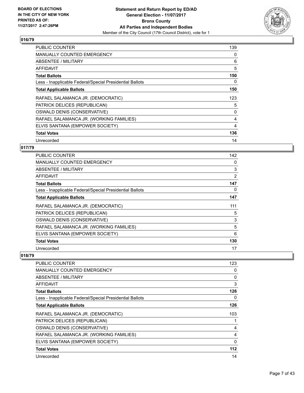

| <b>PUBLIC COUNTER</b>                                    | 139 |
|----------------------------------------------------------|-----|
| <b>MANUALLY COUNTED EMERGENCY</b>                        | 0   |
| ABSENTEE / MILITARY                                      | 6   |
| <b>AFFIDAVIT</b>                                         | 5   |
| <b>Total Ballots</b>                                     | 150 |
| Less - Inapplicable Federal/Special Presidential Ballots | 0   |
| <b>Total Applicable Ballots</b>                          | 150 |
| RAFAEL SALAMANCA JR. (DEMOCRATIC)                        | 123 |
| PATRICK DELICES (REPUBLICAN)                             | 5   |
| OSWALD DENIS (CONSERVATIVE)                              | 0   |
| RAFAEL SALAMANCA JR. (WORKING FAMILIES)                  | 4   |
| ELVIS SANTANA (EMPOWER SOCIETY)                          | 4   |
| <b>Total Votes</b>                                       | 136 |
|                                                          |     |

## **017/79**

| <b>PUBLIC COUNTER</b>                                    | 142 |
|----------------------------------------------------------|-----|
| <b>MANUALLY COUNTED EMERGENCY</b>                        | 0   |
| ABSENTEE / MILITARY                                      | 3   |
| AFFIDAVIT                                                | 2   |
| <b>Total Ballots</b>                                     | 147 |
| Less - Inapplicable Federal/Special Presidential Ballots | 0   |
| <b>Total Applicable Ballots</b>                          | 147 |
| RAFAEL SALAMANCA JR. (DEMOCRATIC)                        | 111 |
| PATRICK DELICES (REPUBLICAN)                             | 5   |
| OSWALD DENIS (CONSERVATIVE)                              | 3   |
| RAFAEL SALAMANCA JR. (WORKING FAMILIES)                  | 5   |
| ELVIS SANTANA (EMPOWER SOCIETY)                          | 6   |
| <b>Total Votes</b>                                       | 130 |
| Unrecorded                                               | 17  |

| <b>PUBLIC COUNTER</b>                                    | 123 |
|----------------------------------------------------------|-----|
| <b>MANUALLY COUNTED EMERGENCY</b>                        | 0   |
| <b>ABSENTEE / MILITARY</b>                               | 0   |
| <b>AFFIDAVIT</b>                                         | 3   |
| <b>Total Ballots</b>                                     | 126 |
| Less - Inapplicable Federal/Special Presidential Ballots | 0   |
| <b>Total Applicable Ballots</b>                          | 126 |
| RAFAEL SALAMANCA JR. (DEMOCRATIC)                        | 103 |
| PATRICK DELICES (REPUBLICAN)                             |     |
| OSWALD DENIS (CONSERVATIVE)                              | 4   |
| RAFAEL SALAMANCA JR. (WORKING FAMILIES)                  | 4   |
| ELVIS SANTANA (EMPOWER SOCIETY)                          | 0   |
| <b>Total Votes</b>                                       | 112 |
| Unrecorded                                               | 14  |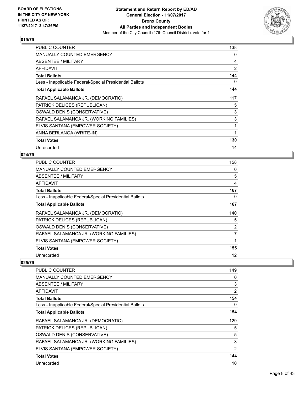

| <b>PUBLIC COUNTER</b>                                    | 138 |
|----------------------------------------------------------|-----|
| <b>MANUALLY COUNTED EMERGENCY</b>                        | 0   |
| <b>ABSENTEE / MILITARY</b>                               | 4   |
| <b>AFFIDAVIT</b>                                         | 2   |
| <b>Total Ballots</b>                                     | 144 |
| Less - Inapplicable Federal/Special Presidential Ballots | 0   |
| <b>Total Applicable Ballots</b>                          | 144 |
| RAFAEL SALAMANCA JR. (DEMOCRATIC)                        | 117 |
| PATRICK DELICES (REPUBLICAN)                             | 5   |
| OSWALD DENIS (CONSERVATIVE)                              | 3   |
| RAFAEL SALAMANCA JR. (WORKING FAMILIES)                  | 3   |
| ELVIS SANTANA (EMPOWER SOCIETY)                          | 1   |
| ANNA BERLANGA (WRITE-IN)                                 | 1   |
| <b>Total Votes</b>                                       | 130 |
| Unrecorded                                               | 14  |

## **024/79**

| PUBLIC COUNTER                                           | 158            |
|----------------------------------------------------------|----------------|
| <b>MANUALLY COUNTED EMERGENCY</b>                        | 0              |
| ABSENTEE / MILITARY                                      | 5              |
| AFFIDAVIT                                                | 4              |
| <b>Total Ballots</b>                                     | 167            |
| Less - Inapplicable Federal/Special Presidential Ballots | 0              |
| <b>Total Applicable Ballots</b>                          | 167            |
| RAFAEL SALAMANCA JR. (DEMOCRATIC)                        | 140            |
| PATRICK DELICES (REPUBLICAN)                             | 5              |
| OSWALD DENIS (CONSERVATIVE)                              | $\overline{2}$ |
| RAFAEL SALAMANCA JR. (WORKING FAMILIES)                  | 7              |
| ELVIS SANTANA (EMPOWER SOCIETY)                          |                |
| <b>Total Votes</b>                                       | 155            |
| Unrecorded                                               | 12             |

| <b>PUBLIC COUNTER</b>                                    | 149            |
|----------------------------------------------------------|----------------|
| MANUALLY COUNTED EMERGENCY                               | 0              |
| ABSENTEE / MILITARY                                      | 3              |
| AFFIDAVIT                                                | $\overline{2}$ |
| <b>Total Ballots</b>                                     | 154            |
| Less - Inapplicable Federal/Special Presidential Ballots | 0              |
| <b>Total Applicable Ballots</b>                          | 154            |
| RAFAEL SALAMANCA JR. (DEMOCRATIC)                        | 129            |
| PATRICK DELICES (REPUBLICAN)                             | 5              |
| OSWALD DENIS (CONSERVATIVE)                              | 5              |
| RAFAEL SALAMANCA JR. (WORKING FAMILIES)                  | 3              |
| ELVIS SANTANA (EMPOWER SOCIETY)                          | $\overline{2}$ |
| <b>Total Votes</b>                                       | 144            |
| Unrecorded                                               | 10             |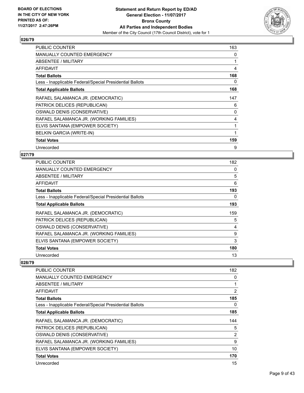

| <b>PUBLIC COUNTER</b>                                    | 163 |
|----------------------------------------------------------|-----|
| <b>MANUALLY COUNTED EMERGENCY</b>                        | 0   |
| ABSENTEE / MILITARY                                      |     |
| <b>AFFIDAVIT</b>                                         | 4   |
| <b>Total Ballots</b>                                     | 168 |
| Less - Inapplicable Federal/Special Presidential Ballots | 0   |
| <b>Total Applicable Ballots</b>                          | 168 |
| RAFAEL SALAMANCA JR. (DEMOCRATIC)                        | 147 |
| PATRICK DELICES (REPUBLICAN)                             | 6   |
| OSWALD DENIS (CONSERVATIVE)                              | 0   |
| RAFAEL SALAMANCA JR. (WORKING FAMILIES)                  | 4   |
| ELVIS SANTANA (EMPOWER SOCIETY)                          |     |
| BELKIN GARCIA (WRITE-IN)                                 | 1   |
| <b>Total Votes</b>                                       | 159 |
| Unrecorded                                               | 9   |

## **027/79**

| <b>PUBLIC COUNTER</b>                                    | 182 |
|----------------------------------------------------------|-----|
| <b>MANUALLY COUNTED EMERGENCY</b>                        | 0   |
| ABSENTEE / MILITARY                                      | 5   |
| AFFIDAVIT                                                | 6   |
| <b>Total Ballots</b>                                     | 193 |
| Less - Inapplicable Federal/Special Presidential Ballots | 0   |
| <b>Total Applicable Ballots</b>                          | 193 |
| RAFAEL SALAMANCA JR. (DEMOCRATIC)                        | 159 |
| PATRICK DELICES (REPUBLICAN)                             | 5   |
| OSWALD DENIS (CONSERVATIVE)                              | 4   |
| RAFAEL SALAMANCA JR. (WORKING FAMILIES)                  | 9   |
| ELVIS SANTANA (EMPOWER SOCIETY)                          | 3   |
| <b>Total Votes</b>                                       | 180 |
| Unrecorded                                               | 13  |

| PUBLIC COUNTER                                           | 182            |
|----------------------------------------------------------|----------------|
| MANUALLY COUNTED EMERGENCY                               | 0              |
| ABSENTEE / MILITARY                                      | 1              |
| AFFIDAVIT                                                | $\overline{2}$ |
| <b>Total Ballots</b>                                     | 185            |
| Less - Inapplicable Federal/Special Presidential Ballots | 0              |
| <b>Total Applicable Ballots</b>                          | 185            |
| RAFAEL SALAMANCA JR. (DEMOCRATIC)                        | 144            |
| PATRICK DELICES (REPUBLICAN)                             | 5              |
| OSWALD DENIS (CONSERVATIVE)                              | $\overline{2}$ |
| RAFAEL SALAMANCA JR. (WORKING FAMILIES)                  | 9              |
| ELVIS SANTANA (EMPOWER SOCIETY)                          | 10             |
| <b>Total Votes</b>                                       | 170            |
| Unrecorded                                               | 15             |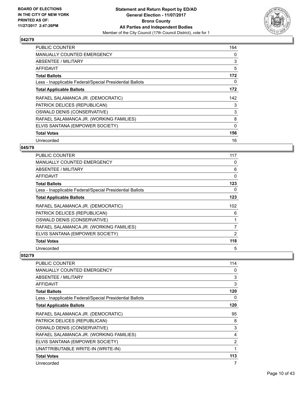

| <b>PUBLIC COUNTER</b>                                    | 164 |
|----------------------------------------------------------|-----|
| <b>MANUALLY COUNTED EMERGENCY</b>                        | 0   |
| ABSENTEE / MILITARY                                      | 3   |
| AFFIDAVIT                                                | 5   |
| <b>Total Ballots</b>                                     | 172 |
| Less - Inapplicable Federal/Special Presidential Ballots | 0   |
| <b>Total Applicable Ballots</b>                          | 172 |
| RAFAEL SALAMANCA JR. (DEMOCRATIC)                        | 142 |
| PATRICK DELICES (REPUBLICAN)                             | 3   |
| OSWALD DENIS (CONSERVATIVE)                              | 3   |
| RAFAEL SALAMANCA JR. (WORKING FAMILIES)                  | 8   |
| ELVIS SANTANA (EMPOWER SOCIETY)                          | 0   |
| <b>Total Votes</b>                                       | 156 |
| Unrecorded                                               | 16  |

#### **045/79**

| PUBLIC COUNTER                                           | 117      |
|----------------------------------------------------------|----------|
| <b>MANUALLY COUNTED EMERGENCY</b>                        | 0        |
| ABSENTEE / MILITARY                                      | 6        |
| AFFIDAVIT                                                | $\Omega$ |
| <b>Total Ballots</b>                                     | 123      |
| Less - Inapplicable Federal/Special Presidential Ballots | 0        |
| <b>Total Applicable Ballots</b>                          | 123      |
| RAFAEL SALAMANCA JR. (DEMOCRATIC)                        | 102      |
| PATRICK DELICES (REPUBLICAN)                             | 6        |
| OSWALD DENIS (CONSERVATIVE)                              |          |
| RAFAEL SALAMANCA JR. (WORKING FAMILIES)                  | 7        |
| ELVIS SANTANA (EMPOWER SOCIETY)                          | 2        |
| <b>Total Votes</b>                                       | 118      |
| Unrecorded                                               | 5        |

| <b>PUBLIC COUNTER</b>                                    | 114 |
|----------------------------------------------------------|-----|
| <b>MANUALLY COUNTED EMERGENCY</b>                        | 0   |
| ABSENTEE / MILITARY                                      | 3   |
| AFFIDAVIT                                                | 3   |
| <b>Total Ballots</b>                                     | 120 |
| Less - Inapplicable Federal/Special Presidential Ballots | 0   |
| <b>Total Applicable Ballots</b>                          | 120 |
| RAFAEL SALAMANCA JR. (DEMOCRATIC)                        | 95  |
| PATRICK DELICES (REPUBLICAN)                             | 8   |
| OSWALD DENIS (CONSERVATIVE)                              | 3   |
| RAFAEL SALAMANCA JR. (WORKING FAMILIES)                  | 4   |
| ELVIS SANTANA (EMPOWER SOCIETY)                          | 2   |
| UNATTRIBUTABLE WRITE-IN (WRITE-IN)                       | 1   |
| <b>Total Votes</b>                                       | 113 |
| Unrecorded                                               | 7   |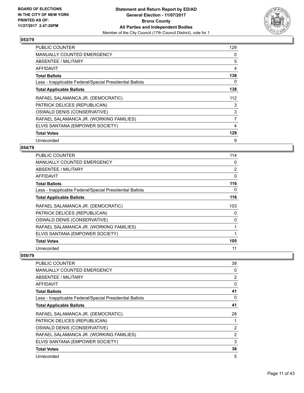

| <b>PUBLIC COUNTER</b>                                    | 129 |
|----------------------------------------------------------|-----|
| <b>MANUALLY COUNTED EMERGENCY</b>                        | 0   |
| <b>ABSENTEE / MILITARY</b>                               | 5   |
| AFFIDAVIT                                                | 4   |
| <b>Total Ballots</b>                                     | 138 |
| Less - Inapplicable Federal/Special Presidential Ballots | 0   |
| <b>Total Applicable Ballots</b>                          | 138 |
| RAFAEL SALAMANCA JR. (DEMOCRATIC)                        | 112 |
| PATRICK DELICES (REPUBLICAN)                             | 3   |
| OSWALD DENIS (CONSERVATIVE)                              | 3   |
| RAFAEL SALAMANCA JR. (WORKING FAMILIES)                  | 7   |
| ELVIS SANTANA (EMPOWER SOCIETY)                          | 4   |
| <b>Total Votes</b>                                       | 129 |
| Unrecorded                                               | 9   |

## **054/79**

| <b>PUBLIC COUNTER</b>                                    | 114      |
|----------------------------------------------------------|----------|
| <b>MANUALLY COUNTED EMERGENCY</b>                        | 0        |
| ABSENTEE / MILITARY                                      | 2        |
| AFFIDAVIT                                                | $\Omega$ |
| <b>Total Ballots</b>                                     | 116      |
| Less - Inapplicable Federal/Special Presidential Ballots | 0        |
| <b>Total Applicable Ballots</b>                          | 116      |
| RAFAEL SALAMANCA JR. (DEMOCRATIC)                        | 103      |
| PATRICK DELICES (REPUBLICAN)                             | 0        |
| OSWALD DENIS (CONSERVATIVE)                              | 0        |
| RAFAEL SALAMANCA JR. (WORKING FAMILIES)                  | 1        |
| ELVIS SANTANA (EMPOWER SOCIETY)                          | 1        |
| <b>Total Votes</b>                                       | 105      |
| Unrecorded                                               | 11       |

| <b>PUBLIC COUNTER</b>                                    | 39 |
|----------------------------------------------------------|----|
| <b>MANUALLY COUNTED EMERGENCY</b>                        | 0  |
| ABSENTEE / MILITARY                                      | 2  |
| AFFIDAVIT                                                | 0  |
| <b>Total Ballots</b>                                     | 41 |
| Less - Inapplicable Federal/Special Presidential Ballots | 0  |
| <b>Total Applicable Ballots</b>                          | 41 |
| RAFAEL SALAMANCA JR. (DEMOCRATIC)                        | 28 |
| PATRICK DELICES (REPUBLICAN)                             |    |
| OSWALD DENIS (CONSERVATIVE)                              | 2  |
| RAFAEL SALAMANCA JR. (WORKING FAMILIES)                  | 2  |
| ELVIS SANTANA (EMPOWER SOCIETY)                          | 3  |
| <b>Total Votes</b>                                       | 36 |
| Unrecorded                                               | 5  |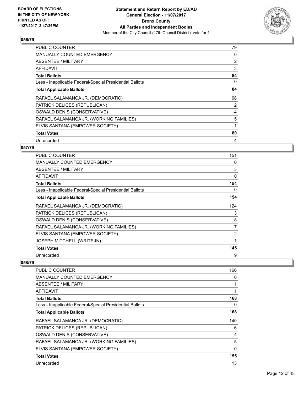

| <b>PUBLIC COUNTER</b>                                    | 79 |
|----------------------------------------------------------|----|
| <b>MANUALLY COUNTED EMERGENCY</b>                        | 0  |
| <b>ABSENTEE / MILITARY</b>                               | 2  |
| AFFIDAVIT                                                | 3  |
| <b>Total Ballots</b>                                     | 84 |
| Less - Inapplicable Federal/Special Presidential Ballots | 0  |
| <b>Total Applicable Ballots</b>                          | 84 |
| RAFAEL SALAMANCA JR. (DEMOCRATIC)                        | 68 |
| PATRICK DELICES (REPUBLICAN)                             | 2  |
| OSWALD DENIS (CONSERVATIVE)                              | 4  |
| RAFAEL SALAMANCA JR. (WORKING FAMILIES)                  | 5  |
| ELVIS SANTANA (EMPOWER SOCIETY)                          |    |
| <b>Total Votes</b>                                       | 80 |
| Unrecorded                                               | 4  |

## **057/79**

| <b>PUBLIC COUNTER</b>                                    | 151            |
|----------------------------------------------------------|----------------|
| <b>MANUALLY COUNTED EMERGENCY</b>                        | 0              |
| ABSENTEE / MILITARY                                      | 3              |
| AFFIDAVIT                                                | 0              |
| <b>Total Ballots</b>                                     | 154            |
| Less - Inapplicable Federal/Special Presidential Ballots | 0              |
| <b>Total Applicable Ballots</b>                          | 154            |
| RAFAEL SALAMANCA JR. (DEMOCRATIC)                        | 124            |
| PATRICK DELICES (REPUBLICAN)                             | 3              |
| OSWALD DENIS (CONSERVATIVE)                              | 8              |
| RAFAEL SALAMANCA JR. (WORKING FAMILIES)                  | $\overline{7}$ |
| ELVIS SANTANA (EMPOWER SOCIETY)                          | $\overline{2}$ |
| JOSEPH MITCHELL (WRITE-IN)                               | 1              |
| <b>Total Votes</b>                                       | 145            |
| Unrecorded                                               | 9              |

| <b>PUBLIC COUNTER</b>                                    | 166 |
|----------------------------------------------------------|-----|
| <b>MANUALLY COUNTED EMERGENCY</b>                        | 0   |
| ABSENTEE / MILITARY                                      |     |
| AFFIDAVIT                                                |     |
| <b>Total Ballots</b>                                     | 168 |
| Less - Inapplicable Federal/Special Presidential Ballots | 0   |
| <b>Total Applicable Ballots</b>                          | 168 |
| RAFAEL SALAMANCA JR. (DEMOCRATIC)                        | 140 |
| PATRICK DELICES (REPUBLICAN)                             | 6   |
| OSWALD DENIS (CONSERVATIVE)                              | 4   |
| RAFAEL SALAMANCA JR. (WORKING FAMILIES)                  | 5   |
| ELVIS SANTANA (EMPOWER SOCIETY)                          | 0   |
| <b>Total Votes</b>                                       | 155 |
| Unrecorded                                               | 13  |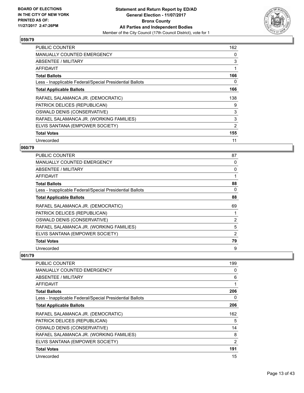

| <b>PUBLIC COUNTER</b>                                    | 162 |
|----------------------------------------------------------|-----|
| <b>MANUALLY COUNTED EMERGENCY</b>                        | 0   |
| <b>ABSENTEE / MILITARY</b>                               | 3   |
| AFFIDAVIT                                                |     |
| <b>Total Ballots</b>                                     | 166 |
| Less - Inapplicable Federal/Special Presidential Ballots | 0   |
| <b>Total Applicable Ballots</b>                          | 166 |
| RAFAEL SALAMANCA JR. (DEMOCRATIC)                        | 138 |
| PATRICK DELICES (REPUBLICAN)                             | 9   |
| OSWALD DENIS (CONSERVATIVE)                              | 3   |
| RAFAEL SALAMANCA JR. (WORKING FAMILIES)                  | 3   |
| ELVIS SANTANA (EMPOWER SOCIETY)                          | 2   |
| <b>Total Votes</b>                                       | 155 |
| Unrecorded                                               | 11  |

## **060/79**

| <b>PUBLIC COUNTER</b>                                    | 87             |
|----------------------------------------------------------|----------------|
| <b>MANUALLY COUNTED EMERGENCY</b>                        | 0              |
| ABSENTEE / MILITARY                                      | 0              |
| <b>AFFIDAVIT</b>                                         |                |
| <b>Total Ballots</b>                                     | 88             |
| Less - Inapplicable Federal/Special Presidential Ballots | 0              |
| <b>Total Applicable Ballots</b>                          | 88             |
| RAFAEL SALAMANCA JR. (DEMOCRATIC)                        | 69             |
| PATRICK DELICES (REPUBLICAN)                             |                |
| OSWALD DENIS (CONSERVATIVE)                              | $\overline{2}$ |
| RAFAEL SALAMANCA JR. (WORKING FAMILIES)                  | 5              |
| ELVIS SANTANA (EMPOWER SOCIETY)                          | 2              |
| <b>Total Votes</b>                                       | 79             |
| Unrecorded                                               | 9              |

| <b>PUBLIC COUNTER</b>                                    | 199 |
|----------------------------------------------------------|-----|
| <b>MANUALLY COUNTED EMERGENCY</b>                        | 0   |
| ABSENTEE / MILITARY                                      | 6   |
| AFFIDAVIT                                                |     |
| <b>Total Ballots</b>                                     | 206 |
| Less - Inapplicable Federal/Special Presidential Ballots | 0   |
| <b>Total Applicable Ballots</b>                          | 206 |
| RAFAEL SALAMANCA JR. (DEMOCRATIC)                        | 162 |
| PATRICK DELICES (REPUBLICAN)                             | 5   |
| OSWALD DENIS (CONSERVATIVE)                              | 14  |
| RAFAEL SALAMANCA JR. (WORKING FAMILIES)                  | 8   |
| ELVIS SANTANA (EMPOWER SOCIETY)                          | 2   |
| <b>Total Votes</b>                                       | 191 |
| Unrecorded                                               | 15  |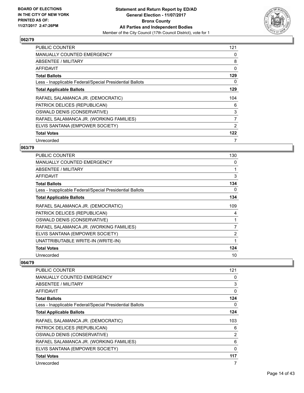

| <b>PUBLIC COUNTER</b>                                    | 121 |
|----------------------------------------------------------|-----|
| <b>MANUALLY COUNTED EMERGENCY</b>                        | 0   |
| ABSENTEE / MILITARY                                      | 8   |
| AFFIDAVIT                                                | 0   |
| <b>Total Ballots</b>                                     | 129 |
| Less - Inapplicable Federal/Special Presidential Ballots | 0   |
| <b>Total Applicable Ballots</b>                          | 129 |
| RAFAEL SALAMANCA JR. (DEMOCRATIC)                        | 104 |
| PATRICK DELICES (REPUBLICAN)                             | 6   |
| OSWALD DENIS (CONSERVATIVE)                              | 3   |
| RAFAEL SALAMANCA JR. (WORKING FAMILIES)                  | 7   |
| ELVIS SANTANA (EMPOWER SOCIETY)                          | 2   |
| <b>Total Votes</b>                                       | 122 |
| Unrecorded                                               | 7   |

## **063/79**

| <b>PUBLIC COUNTER</b>                                    | 130 |
|----------------------------------------------------------|-----|
| <b>MANUALLY COUNTED EMERGENCY</b>                        | 0   |
| ABSENTEE / MILITARY                                      | 1   |
| AFFIDAVIT                                                | 3   |
| <b>Total Ballots</b>                                     | 134 |
| Less - Inapplicable Federal/Special Presidential Ballots | 0   |
| <b>Total Applicable Ballots</b>                          | 134 |
| RAFAEL SALAMANCA JR. (DEMOCRATIC)                        | 109 |
| PATRICK DELICES (REPUBLICAN)                             | 4   |
| OSWALD DENIS (CONSERVATIVE)                              | 1   |
| RAFAEL SALAMANCA JR. (WORKING FAMILIES)                  | 7   |
| ELVIS SANTANA (EMPOWER SOCIETY)                          | 2   |
| UNATTRIBUTABLE WRITE-IN (WRITE-IN)                       | 1   |
| <b>Total Votes</b>                                       | 124 |
| Unrecorded                                               | 10  |

| <b>PUBLIC COUNTER</b>                                    | 121      |
|----------------------------------------------------------|----------|
| <b>MANUALLY COUNTED EMERGENCY</b>                        | 0        |
| ABSENTEE / MILITARY                                      | 3        |
| AFFIDAVIT                                                | $\Omega$ |
| <b>Total Ballots</b>                                     | 124      |
| Less - Inapplicable Federal/Special Presidential Ballots | 0        |
| <b>Total Applicable Ballots</b>                          | 124      |
| RAFAEL SALAMANCA JR. (DEMOCRATIC)                        | 103      |
| PATRICK DELICES (REPUBLICAN)                             | 6        |
| OSWALD DENIS (CONSERVATIVE)                              | 2        |
| RAFAEL SALAMANCA JR. (WORKING FAMILIES)                  | 6        |
| ELVIS SANTANA (EMPOWER SOCIETY)                          | 0        |
| <b>Total Votes</b>                                       | 117      |
| Unrecorded                                               |          |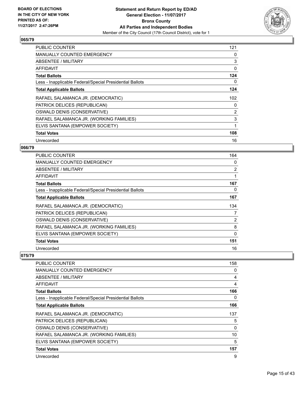

| <b>PUBLIC COUNTER</b>                                    | 121 |
|----------------------------------------------------------|-----|
| <b>MANUALLY COUNTED EMERGENCY</b>                        | 0   |
| <b>ABSENTEE / MILITARY</b>                               | 3   |
| AFFIDAVIT                                                | 0   |
| <b>Total Ballots</b>                                     | 124 |
| Less - Inapplicable Federal/Special Presidential Ballots | 0   |
| <b>Total Applicable Ballots</b>                          | 124 |
| RAFAEL SALAMANCA JR. (DEMOCRATIC)                        | 102 |
| PATRICK DELICES (REPUBLICAN)                             | 0   |
| OSWALD DENIS (CONSERVATIVE)                              | 2   |
| RAFAEL SALAMANCA JR. (WORKING FAMILIES)                  | 3   |
| ELVIS SANTANA (EMPOWER SOCIETY)                          | 1   |
| <b>Total Votes</b>                                       | 108 |
| Unrecorded                                               | 16  |

#### **066/79**

| PUBLIC COUNTER                                           | 164            |
|----------------------------------------------------------|----------------|
| <b>MANUALLY COUNTED EMERGENCY</b>                        | 0              |
| ABSENTEE / MILITARY                                      | $\overline{2}$ |
| AFFIDAVIT                                                |                |
| <b>Total Ballots</b>                                     | 167            |
| Less - Inapplicable Federal/Special Presidential Ballots | 0              |
| <b>Total Applicable Ballots</b>                          | 167            |
| RAFAEL SALAMANCA JR. (DEMOCRATIC)                        | 134            |
| PATRICK DELICES (REPUBLICAN)                             | 7              |
| OSWALD DENIS (CONSERVATIVE)                              | 2              |
| RAFAEL SALAMANCA JR. (WORKING FAMILIES)                  | 8              |
| ELVIS SANTANA (EMPOWER SOCIETY)                          | 0              |
| <b>Total Votes</b>                                       | 151            |
| Unrecorded                                               | 16             |

| <b>PUBLIC COUNTER</b>                                    | 158 |
|----------------------------------------------------------|-----|
| <b>MANUALLY COUNTED EMERGENCY</b>                        | 0   |
| <b>ABSENTEE / MILITARY</b>                               | 4   |
| <b>AFFIDAVIT</b>                                         | 4   |
| <b>Total Ballots</b>                                     | 166 |
| Less - Inapplicable Federal/Special Presidential Ballots | 0   |
| <b>Total Applicable Ballots</b>                          | 166 |
| RAFAEL SALAMANCA JR. (DEMOCRATIC)                        | 137 |
| PATRICK DELICES (REPUBLICAN)                             | 5   |
| OSWALD DENIS (CONSERVATIVE)                              | 0   |
| RAFAEL SALAMANCA JR. (WORKING FAMILIES)                  | 10  |
| ELVIS SANTANA (EMPOWER SOCIETY)                          | 5   |
| <b>Total Votes</b>                                       | 157 |
| Unrecorded                                               | 9   |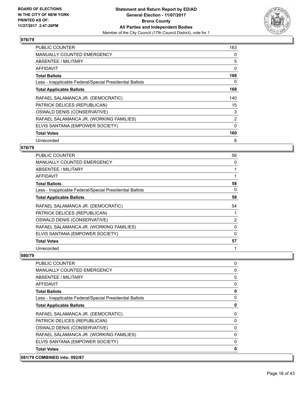

| <b>PUBLIC COUNTER</b>                                    | 163            |
|----------------------------------------------------------|----------------|
| <b>MANUALLY COUNTED EMERGENCY</b>                        | 0              |
| ABSENTEE / MILITARY                                      | 5              |
| AFFIDAVIT                                                | 0              |
| <b>Total Ballots</b>                                     | 168            |
| Less - Inapplicable Federal/Special Presidential Ballots | 0              |
| <b>Total Applicable Ballots</b>                          | 168            |
| RAFAEL SALAMANCA JR. (DEMOCRATIC)                        | 140            |
| PATRICK DELICES (REPUBLICAN)                             | 15             |
| OSWALD DENIS (CONSERVATIVE)                              | 3              |
| RAFAEL SALAMANCA JR. (WORKING FAMILIES)                  | $\overline{2}$ |
| ELVIS SANTANA (EMPOWER SOCIETY)                          | $\Omega$       |
| <b>Total Votes</b>                                       | 160            |
| Unrecorded                                               | 8              |

## **078/79**

| PUBLIC COUNTER                                           | 56       |
|----------------------------------------------------------|----------|
| <b>MANUALLY COUNTED EMERGENCY</b>                        | 0        |
| ABSENTEE / MILITARY                                      |          |
| AFFIDAVIT                                                |          |
| <b>Total Ballots</b>                                     | 58       |
| Less - Inapplicable Federal/Special Presidential Ballots | 0        |
| <b>Total Applicable Ballots</b>                          | 58       |
| RAFAEL SALAMANCA JR. (DEMOCRATIC)                        | 54       |
| PATRICK DELICES (REPUBLICAN)                             |          |
| OSWALD DENIS (CONSERVATIVE)                              | 2        |
|                                                          |          |
| RAFAEL SALAMANCA JR. (WORKING FAMILIES)                  | 0        |
| ELVIS SANTANA (EMPOWER SOCIETY)                          | $\Omega$ |
| <b>Total Votes</b>                                       | 57       |

| 081/79 COMBINED into: 092/87                             |              |
|----------------------------------------------------------|--------------|
| <b>Total Votes</b>                                       | 0            |
| ELVIS SANTANA (EMPOWER SOCIETY)                          | 0            |
| RAFAEL SALAMANCA JR. (WORKING FAMILIES)                  | 0            |
| OSWALD DENIS (CONSERVATIVE)                              | 0            |
| PATRICK DELICES (REPUBLICAN)                             | 0            |
| RAFAEL SALAMANCA JR. (DEMOCRATIC)                        | 0            |
| <b>Total Applicable Ballots</b>                          | $\mathbf 0$  |
| Less - Inapplicable Federal/Special Presidential Ballots | $\mathbf{0}$ |
| <b>Total Ballots</b>                                     | $\mathbf 0$  |
| <b>AFFIDAVIT</b>                                         | 0            |
| ABSENTEE / MILITARY                                      | 0            |
| <b>MANUALLY COUNTED EMERGENCY</b>                        | 0            |
| <b>PUBLIC COUNTER</b>                                    | 0            |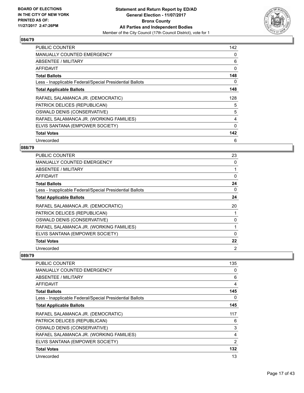

| <b>PUBLIC COUNTER</b>                                    | 142      |
|----------------------------------------------------------|----------|
| <b>MANUALLY COUNTED EMERGENCY</b>                        | 0        |
| ABSENTEE / MILITARY                                      | 6        |
| AFFIDAVIT                                                | 0        |
| <b>Total Ballots</b>                                     | 148      |
| Less - Inapplicable Federal/Special Presidential Ballots | 0        |
| <b>Total Applicable Ballots</b>                          | 148      |
| RAFAEL SALAMANCA JR. (DEMOCRATIC)                        | 128      |
| PATRICK DELICES (REPUBLICAN)                             | 5        |
| OSWALD DENIS (CONSERVATIVE)                              | 5        |
|                                                          |          |
| RAFAEL SALAMANCA JR. (WORKING FAMILIES)                  | 4        |
| ELVIS SANTANA (EMPOWER SOCIETY)                          | $\Omega$ |
| <b>Total Votes</b>                                       | 142      |

## **088/79**

| PUBLIC COUNTER                                           | 23             |
|----------------------------------------------------------|----------------|
| <b>MANUALLY COUNTED EMERGENCY</b>                        | 0              |
| ABSENTEE / MILITARY                                      |                |
| AFFIDAVIT                                                | 0              |
| <b>Total Ballots</b>                                     | 24             |
| Less - Inapplicable Federal/Special Presidential Ballots | 0              |
| <b>Total Applicable Ballots</b>                          | 24             |
| RAFAEL SALAMANCA JR. (DEMOCRATIC)                        | 20             |
| PATRICK DELICES (REPUBLICAN)                             |                |
| OSWALD DENIS (CONSERVATIVE)                              | 0              |
| RAFAEL SALAMANCA JR. (WORKING FAMILIES)                  |                |
| ELVIS SANTANA (EMPOWER SOCIETY)                          | 0              |
| <b>Total Votes</b>                                       | 22             |
| Unrecorded                                               | $\overline{2}$ |

| <b>PUBLIC COUNTER</b>                                    | 135 |
|----------------------------------------------------------|-----|
| <b>MANUALLY COUNTED EMERGENCY</b>                        | 0   |
| ABSENTEE / MILITARY                                      | 6   |
| AFFIDAVIT                                                | 4   |
| <b>Total Ballots</b>                                     | 145 |
| Less - Inapplicable Federal/Special Presidential Ballots | 0   |
| <b>Total Applicable Ballots</b>                          | 145 |
| RAFAEL SALAMANCA JR. (DEMOCRATIC)                        | 117 |
| PATRICK DELICES (REPUBLICAN)                             | 6   |
| OSWALD DENIS (CONSERVATIVE)                              | 3   |
| RAFAEL SALAMANCA JR. (WORKING FAMILIES)                  | 4   |
| ELVIS SANTANA (EMPOWER SOCIETY)                          | 2   |
| <b>Total Votes</b>                                       | 132 |
| Unrecorded                                               | 13  |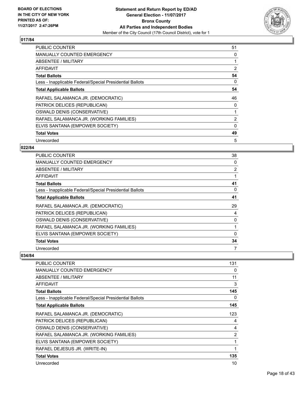

| <b>PUBLIC COUNTER</b>                                    | 51 |
|----------------------------------------------------------|----|
| <b>MANUALLY COUNTED EMERGENCY</b>                        | 0  |
| ABSENTEE / MILITARY                                      |    |
| AFFIDAVIT                                                | 2  |
| <b>Total Ballots</b>                                     | 54 |
| Less - Inapplicable Federal/Special Presidential Ballots | 0  |
| <b>Total Applicable Ballots</b>                          | 54 |
| RAFAEL SALAMANCA JR. (DEMOCRATIC)                        | 46 |
| PATRICK DELICES (REPUBLICAN)                             | 0  |
| OSWALD DENIS (CONSERVATIVE)                              | 1  |
| RAFAEL SALAMANCA JR. (WORKING FAMILIES)                  | 2  |
| ELVIS SANTANA (EMPOWER SOCIETY)                          | 0  |
| <b>Total Votes</b>                                       | 49 |
| Unrecorded                                               | 5  |

## **022/84**

| <b>PUBLIC COUNTER</b>                                    | 38       |
|----------------------------------------------------------|----------|
| <b>MANUALLY COUNTED EMERGENCY</b>                        | 0        |
| ABSENTEE / MILITARY                                      | 2        |
| AFFIDAVIT                                                |          |
| <b>Total Ballots</b>                                     | 41       |
| Less - Inapplicable Federal/Special Presidential Ballots | 0        |
| <b>Total Applicable Ballots</b>                          | 41       |
| RAFAEL SALAMANCA JR. (DEMOCRATIC)                        | 29       |
| PATRICK DELICES (REPUBLICAN)                             | 4        |
| OSWALD DENIS (CONSERVATIVE)                              | 0        |
| RAFAEL SALAMANCA JR. (WORKING FAMILIES)                  |          |
| ELVIS SANTANA (EMPOWER SOCIETY)                          | $\Omega$ |
| <b>Total Votes</b>                                       | 34       |
| Unrecorded                                               | 7        |

| PUBLIC COUNTER                                           | 131            |
|----------------------------------------------------------|----------------|
| <b>MANUALLY COUNTED EMERGENCY</b>                        | 0              |
| <b>ABSENTEE / MILITARY</b>                               | 11             |
| AFFIDAVIT                                                | 3              |
| <b>Total Ballots</b>                                     | 145            |
| Less - Inapplicable Federal/Special Presidential Ballots | 0              |
| <b>Total Applicable Ballots</b>                          | 145            |
| RAFAEL SALAMANCA JR. (DEMOCRATIC)                        | 123            |
| PATRICK DELICES (REPUBLICAN)                             | 4              |
| OSWALD DENIS (CONSERVATIVE)                              | 4              |
| RAFAEL SALAMANCA JR. (WORKING FAMILIES)                  | $\overline{2}$ |
| ELVIS SANTANA (EMPOWER SOCIETY)                          | 1              |
| RAFAEL DEJESUS JR. (WRITE-IN)                            | 1              |
| <b>Total Votes</b>                                       | 135            |
| Unrecorded                                               | 10             |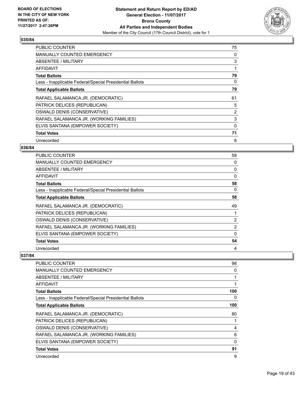

| <b>PUBLIC COUNTER</b>                                    | 75 |
|----------------------------------------------------------|----|
| <b>MANUALLY COUNTED EMERGENCY</b>                        | 0  |
| <b>ABSENTEE / MILITARY</b>                               | 3  |
| AFFIDAVIT                                                |    |
| <b>Total Ballots</b>                                     | 79 |
| Less - Inapplicable Federal/Special Presidential Ballots | 0  |
| <b>Total Applicable Ballots</b>                          | 79 |
| RAFAEL SALAMANCA JR. (DEMOCRATIC)                        | 61 |
| PATRICK DELICES (REPUBLICAN)                             | 5  |
| OSWALD DENIS (CONSERVATIVE)                              | 2  |
| RAFAEL SALAMANCA JR. (WORKING FAMILIES)                  | 3  |
| ELVIS SANTANA (EMPOWER SOCIETY)                          | 0  |
|                                                          |    |
| <b>Total Votes</b>                                       | 71 |

## **036/84**

| PUBLIC COUNTER                                           | 58 |
|----------------------------------------------------------|----|
| <b>MANUALLY COUNTED EMERGENCY</b>                        | 0  |
| ABSENTEE / MILITARY                                      | 0  |
| AFFIDAVIT                                                | 0  |
| <b>Total Ballots</b>                                     | 58 |
| Less - Inapplicable Federal/Special Presidential Ballots | 0  |
| <b>Total Applicable Ballots</b>                          | 58 |
| RAFAEL SALAMANCA JR. (DEMOCRATIC)                        | 49 |
| PATRICK DELICES (REPUBLICAN)                             | 1  |
| OSWALD DENIS (CONSERVATIVE)                              | 2  |
| RAFAEL SALAMANCA JR. (WORKING FAMILIES)                  | 2  |
| ELVIS SANTANA (EMPOWER SOCIETY)                          | 0  |
| <b>Total Votes</b>                                       | 54 |
| Unrecorded                                               | 4  |

| <b>PUBLIC COUNTER</b>                                    | 98  |
|----------------------------------------------------------|-----|
| <b>MANUALLY COUNTED EMERGENCY</b>                        | 0   |
| ABSENTEE / MILITARY                                      |     |
| <b>AFFIDAVIT</b>                                         |     |
| <b>Total Ballots</b>                                     | 100 |
| Less - Inapplicable Federal/Special Presidential Ballots | 0   |
| <b>Total Applicable Ballots</b>                          | 100 |
| RAFAEL SALAMANCA JR. (DEMOCRATIC)                        | 80  |
| PATRICK DELICES (REPUBLICAN)                             |     |
| OSWALD DENIS (CONSERVATIVE)                              | 4   |
| RAFAEL SALAMANCA JR. (WORKING FAMILIES)                  | 6   |
| ELVIS SANTANA (EMPOWER SOCIETY)                          | 0   |
| <b>Total Votes</b>                                       | 91  |
| Unrecorded                                               | 9   |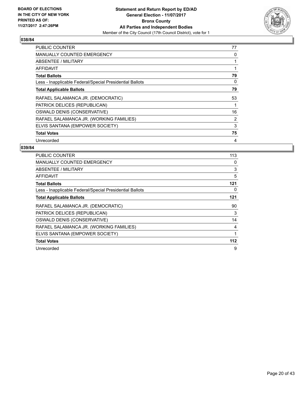

| PUBLIC COUNTER                                           | 77 |
|----------------------------------------------------------|----|
| <b>MANUALLY COUNTED EMERGENCY</b>                        | 0  |
| <b>ABSENTEE / MILITARY</b>                               | 1  |
| <b>AFFIDAVIT</b>                                         | 1  |
| <b>Total Ballots</b>                                     | 79 |
| Less - Inapplicable Federal/Special Presidential Ballots | 0  |
| <b>Total Applicable Ballots</b>                          | 79 |
| RAFAEL SALAMANCA JR. (DEMOCRATIC)                        | 53 |
| PATRICK DELICES (REPUBLICAN)                             | 1  |
|                                                          |    |
| OSWALD DENIS (CONSERVATIVE)                              | 16 |
| RAFAEL SALAMANCA JR. (WORKING FAMILIES)                  | 2  |
| ELVIS SANTANA (EMPOWER SOCIETY)                          | 3  |
| <b>Total Votes</b>                                       | 75 |

| <b>PUBLIC COUNTER</b>                                    | 113 |
|----------------------------------------------------------|-----|
| <b>MANUALLY COUNTED EMERGENCY</b>                        | 0   |
| ABSENTEE / MILITARY                                      | 3   |
| AFFIDAVIT                                                | 5   |
| <b>Total Ballots</b>                                     | 121 |
| Less - Inapplicable Federal/Special Presidential Ballots | 0   |
| <b>Total Applicable Ballots</b>                          | 121 |
| RAFAEL SALAMANCA JR. (DEMOCRATIC)                        | 90  |
| PATRICK DELICES (REPUBLICAN)                             | 3   |
| OSWALD DENIS (CONSERVATIVE)                              | 14  |
| RAFAEL SALAMANCA JR. (WORKING FAMILIES)                  | 4   |
| ELVIS SANTANA (EMPOWER SOCIETY)                          | 1   |
| <b>Total Votes</b>                                       | 112 |
| Unrecorded                                               | 9   |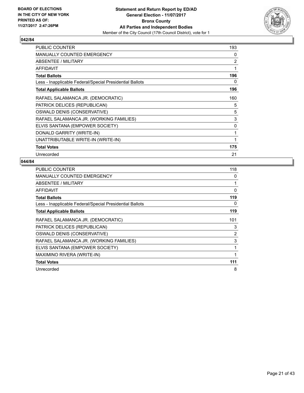

| PUBLIC COUNTER                                           | 193 |
|----------------------------------------------------------|-----|
| <b>MANUALLY COUNTED EMERGENCY</b>                        | 0   |
| ABSENTEE / MILITARY                                      | 2   |
| <b>AFFIDAVIT</b>                                         | 1   |
| <b>Total Ballots</b>                                     | 196 |
| Less - Inapplicable Federal/Special Presidential Ballots | 0   |
| <b>Total Applicable Ballots</b>                          | 196 |
| RAFAEL SALAMANCA JR. (DEMOCRATIC)                        | 160 |
| PATRICK DELICES (REPUBLICAN)                             | 5   |
| OSWALD DENIS (CONSERVATIVE)                              | 5   |
| RAFAEL SALAMANCA JR. (WORKING FAMILIES)                  | 3   |
| ELVIS SANTANA (EMPOWER SOCIETY)                          | 0   |
| DONALD GARRITY (WRITE-IN)                                | 1   |
| UNATTRIBUTABLE WRITE-IN (WRITE-IN)                       | 1   |
| <b>Total Votes</b>                                       | 175 |
| Unrecorded                                               | 21  |

| PUBLIC COUNTER                                           | 118 |
|----------------------------------------------------------|-----|
| <b>MANUALLY COUNTED EMERGENCY</b>                        | 0   |
| ABSENTEE / MILITARY                                      | 1   |
| AFFIDAVIT                                                | 0   |
| <b>Total Ballots</b>                                     | 119 |
| Less - Inapplicable Federal/Special Presidential Ballots | 0   |
| <b>Total Applicable Ballots</b>                          | 119 |
| RAFAEL SALAMANCA JR. (DEMOCRATIC)                        | 101 |
| PATRICK DELICES (REPUBLICAN)                             | 3   |
| OSWALD DENIS (CONSERVATIVE)                              | 2   |
| RAFAEL SALAMANCA JR. (WORKING FAMILIES)                  | 3   |
| ELVIS SANTANA (EMPOWER SOCIETY)                          | 1   |
| MAXIMINO RIVERA (WRITE-IN)                               | 1   |
| <b>Total Votes</b>                                       | 111 |
| Unrecorded                                               | 8   |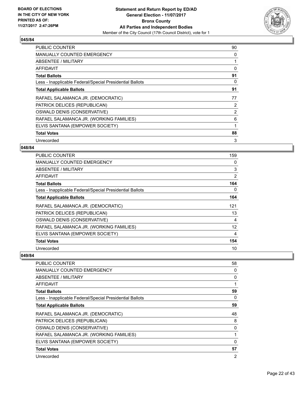

| <b>PUBLIC COUNTER</b>                                    | 90             |
|----------------------------------------------------------|----------------|
| <b>MANUALLY COUNTED EMERGENCY</b>                        | 0              |
| <b>ABSENTEE / MILITARY</b>                               |                |
| AFFIDAVIT                                                | 0              |
| <b>Total Ballots</b>                                     | 91             |
| Less - Inapplicable Federal/Special Presidential Ballots | 0              |
| <b>Total Applicable Ballots</b>                          | 91             |
| RAFAEL SALAMANCA JR. (DEMOCRATIC)                        | 77             |
| PATRICK DELICES (REPUBLICAN)                             | 2              |
| OSWALD DENIS (CONSERVATIVE)                              | $\overline{2}$ |
| RAFAEL SALAMANCA JR. (WORKING FAMILIES)                  | 6              |
| ELVIS SANTANA (EMPOWER SOCIETY)                          |                |
| <b>Total Votes</b>                                       | 88             |
| Unrecorded                                               | 3              |

## **048/84**

| <b>PUBLIC COUNTER</b>                                    | 159 |
|----------------------------------------------------------|-----|
| <b>MANUALLY COUNTED EMERGENCY</b>                        | 0   |
| ABSENTEE / MILITARY                                      | 3   |
| AFFIDAVIT                                                | 2   |
| <b>Total Ballots</b>                                     | 164 |
| Less - Inapplicable Federal/Special Presidential Ballots | 0   |
| <b>Total Applicable Ballots</b>                          | 164 |
| RAFAEL SALAMANCA JR. (DEMOCRATIC)                        | 121 |
| PATRICK DELICES (REPUBLICAN)                             | 13  |
| OSWALD DENIS (CONSERVATIVE)                              | 4   |
| RAFAEL SALAMANCA JR. (WORKING FAMILIES)                  | 12  |
| ELVIS SANTANA (EMPOWER SOCIETY)                          | 4   |
| <b>Total Votes</b>                                       | 154 |
| Unrecorded                                               | 10  |

| <b>PUBLIC COUNTER</b>                                    | 58             |
|----------------------------------------------------------|----------------|
| <b>MANUALLY COUNTED EMERGENCY</b>                        | 0              |
| ABSENTEE / MILITARY                                      | 0              |
| AFFIDAVIT                                                |                |
| <b>Total Ballots</b>                                     | 59             |
| Less - Inapplicable Federal/Special Presidential Ballots | 0              |
| <b>Total Applicable Ballots</b>                          | 59             |
| RAFAEL SALAMANCA JR. (DEMOCRATIC)                        | 48             |
| PATRICK DELICES (REPUBLICAN)                             | 8              |
| OSWALD DENIS (CONSERVATIVE)                              | 0              |
| RAFAEL SALAMANCA JR. (WORKING FAMILIES)                  |                |
| ELVIS SANTANA (EMPOWER SOCIETY)                          | $\mathbf{0}$   |
| <b>Total Votes</b>                                       | 57             |
| Unrecorded                                               | $\overline{2}$ |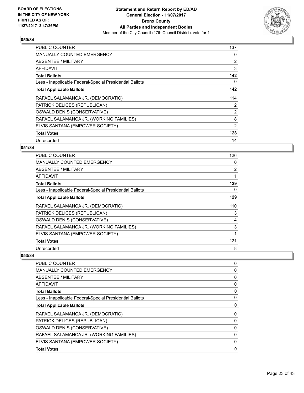

| <b>PUBLIC COUNTER</b>                                    | 137            |
|----------------------------------------------------------|----------------|
| <b>MANUALLY COUNTED EMERGENCY</b>                        | 0              |
| <b>ABSENTEE / MILITARY</b>                               | 2              |
| AFFIDAVIT                                                | 3              |
| <b>Total Ballots</b>                                     | 142            |
| Less - Inapplicable Federal/Special Presidential Ballots | 0              |
| <b>Total Applicable Ballots</b>                          | 142            |
| RAFAEL SALAMANCA JR. (DEMOCRATIC)                        | 114            |
| PATRICK DELICES (REPUBLICAN)                             | 2              |
| OSWALD DENIS (CONSERVATIVE)                              | $\overline{2}$ |
| RAFAEL SALAMANCA JR. (WORKING FAMILIES)                  | 8              |
| ELVIS SANTANA (EMPOWER SOCIETY)                          | 2              |
|                                                          |                |
| <b>Total Votes</b>                                       | 128            |

## **051/84**

| <b>PUBLIC COUNTER</b>                                    | 126 |
|----------------------------------------------------------|-----|
| <b>MANUALLY COUNTED EMERGENCY</b>                        | 0   |
| ABSENTEE / MILITARY                                      | 2   |
| AFFIDAVIT                                                | 1   |
| <b>Total Ballots</b>                                     | 129 |
| Less - Inapplicable Federal/Special Presidential Ballots | 0   |
| <b>Total Applicable Ballots</b>                          | 129 |
| RAFAEL SALAMANCA JR. (DEMOCRATIC)                        | 110 |
| PATRICK DELICES (REPUBLICAN)                             | 3   |
| OSWALD DENIS (CONSERVATIVE)                              | 4   |
| RAFAEL SALAMANCA JR. (WORKING FAMILIES)                  | 3   |
| ELVIS SANTANA (EMPOWER SOCIETY)                          | 1   |
| <b>Total Votes</b>                                       | 121 |
| Unrecorded                                               | 8   |

| <b>PUBLIC COUNTER</b>                                    | 0 |
|----------------------------------------------------------|---|
| <b>MANUALLY COUNTED EMERGENCY</b>                        | 0 |
| ABSENTEE / MILITARY                                      | 0 |
| AFFIDAVIT                                                | 0 |
| <b>Total Ballots</b>                                     | 0 |
| Less - Inapplicable Federal/Special Presidential Ballots | 0 |
| <b>Total Applicable Ballots</b>                          | 0 |
| RAFAEL SALAMANCA JR. (DEMOCRATIC)                        | 0 |
| PATRICK DELICES (REPUBLICAN)                             | 0 |
| OSWALD DENIS (CONSERVATIVE)                              | 0 |
| RAFAEL SALAMANCA JR. (WORKING FAMILIES)                  | 0 |
| ELVIS SANTANA (EMPOWER SOCIETY)                          | 0 |
| <b>Total Votes</b>                                       | 0 |
|                                                          |   |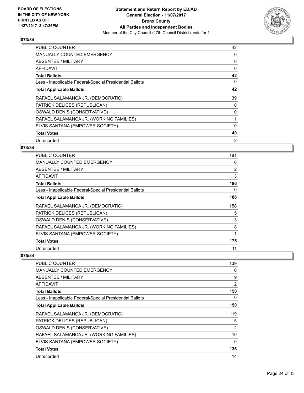

| <b>PUBLIC COUNTER</b>                                    | 42             |
|----------------------------------------------------------|----------------|
| <b>MANUALLY COUNTED EMERGENCY</b>                        | 0              |
| ABSENTEE / MILITARY                                      | 0              |
| AFFIDAVIT                                                | 0              |
| <b>Total Ballots</b>                                     | 42             |
| Less - Inapplicable Federal/Special Presidential Ballots | 0              |
| <b>Total Applicable Ballots</b>                          | 42             |
| RAFAEL SALAMANCA JR. (DEMOCRATIC)                        | 39             |
| PATRICK DELICES (REPUBLICAN)                             | 0              |
| OSWALD DENIS (CONSERVATIVE)                              | 0              |
| RAFAEL SALAMANCA JR. (WORKING FAMILIES)                  |                |
| ELVIS SANTANA (EMPOWER SOCIETY)                          | 0              |
| <b>Total Votes</b>                                       | 40             |
| Unrecorded                                               | $\overline{2}$ |

## **074/84**

| <b>PUBLIC COUNTER</b>                                    | 181 |
|----------------------------------------------------------|-----|
| <b>MANUALLY COUNTED EMERGENCY</b>                        | 0   |
| ABSENTEE / MILITARY                                      | 2   |
| AFFIDAVIT                                                | 3   |
| <b>Total Ballots</b>                                     | 186 |
| Less - Inapplicable Federal/Special Presidential Ballots | 0   |
| <b>Total Applicable Ballots</b>                          | 186 |
| RAFAEL SALAMANCA JR. (DEMOCRATIC)                        | 158 |
| PATRICK DELICES (REPUBLICAN)                             | 5   |
| OSWALD DENIS (CONSERVATIVE)                              | 3   |
| RAFAEL SALAMANCA JR. (WORKING FAMILIES)                  | 8   |
| ELVIS SANTANA (EMPOWER SOCIETY)                          | 1   |
| <b>Total Votes</b>                                       | 175 |
| Unrecorded                                               | 11  |

| <b>PUBLIC COUNTER</b>                                    | 139 |
|----------------------------------------------------------|-----|
| <b>MANUALLY COUNTED EMERGENCY</b>                        | 0   |
| <b>ABSENTEE / MILITARY</b>                               | 9   |
| <b>AFFIDAVIT</b>                                         | 2   |
| <b>Total Ballots</b>                                     | 150 |
| Less - Inapplicable Federal/Special Presidential Ballots | 0   |
| <b>Total Applicable Ballots</b>                          | 150 |
| RAFAEL SALAMANCA JR. (DEMOCRATIC)                        | 119 |
| PATRICK DELICES (REPUBLICAN)                             | 5   |
| OSWALD DENIS (CONSERVATIVE)                              | 2   |
| RAFAEL SALAMANCA JR. (WORKING FAMILIES)                  | 10  |
| ELVIS SANTANA (EMPOWER SOCIETY)                          | 0   |
| <b>Total Votes</b>                                       | 136 |
| Unrecorded                                               | 14  |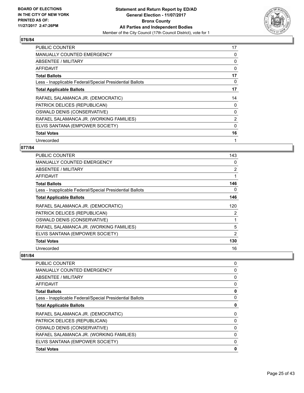

| <b>PUBLIC COUNTER</b>                                    | 17 |
|----------------------------------------------------------|----|
| <b>MANUALLY COUNTED EMERGENCY</b>                        | 0  |
| ABSENTEE / MILITARY                                      | 0  |
| AFFIDAVIT                                                | 0  |
| <b>Total Ballots</b>                                     | 17 |
| Less - Inapplicable Federal/Special Presidential Ballots | 0  |
| <b>Total Applicable Ballots</b>                          | 17 |
| RAFAEL SALAMANCA JR. (DEMOCRATIC)                        | 14 |
| PATRICK DELICES (REPUBLICAN)                             | 0  |
| OSWALD DENIS (CONSERVATIVE)                              | 0  |
| RAFAEL SALAMANCA JR. (WORKING FAMILIES)                  | 2  |
| ELVIS SANTANA (EMPOWER SOCIETY)                          | 0  |
|                                                          |    |
| <b>Total Votes</b>                                       | 16 |

## **077/84**

| <b>PUBLIC COUNTER</b>                                    | 143 |
|----------------------------------------------------------|-----|
| <b>MANUALLY COUNTED EMERGENCY</b>                        | 0   |
| ABSENTEE / MILITARY                                      | 2   |
| AFFIDAVIT                                                | 1   |
| <b>Total Ballots</b>                                     | 146 |
| Less - Inapplicable Federal/Special Presidential Ballots | 0   |
| <b>Total Applicable Ballots</b>                          | 146 |
| RAFAEL SALAMANCA JR. (DEMOCRATIC)                        | 120 |
| PATRICK DELICES (REPUBLICAN)                             | 2   |
| OSWALD DENIS (CONSERVATIVE)                              |     |
| RAFAEL SALAMANCA JR. (WORKING FAMILIES)                  | 5   |
| ELVIS SANTANA (EMPOWER SOCIETY)                          | 2   |
| <b>Total Votes</b>                                       | 130 |
| Unrecorded                                               | 16  |

| <b>PUBLIC COUNTER</b>                                    | 0 |
|----------------------------------------------------------|---|
| <b>MANUALLY COUNTED EMERGENCY</b>                        | 0 |
| ABSENTEE / MILITARY                                      | 0 |
| AFFIDAVIT                                                | 0 |
| <b>Total Ballots</b>                                     | 0 |
| Less - Inapplicable Federal/Special Presidential Ballots | 0 |
| <b>Total Applicable Ballots</b>                          | 0 |
| RAFAEL SALAMANCA JR. (DEMOCRATIC)                        | 0 |
| PATRICK DELICES (REPUBLICAN)                             | 0 |
| OSWALD DENIS (CONSERVATIVE)                              | 0 |
| RAFAEL SALAMANCA JR. (WORKING FAMILIES)                  | 0 |
| ELVIS SANTANA (EMPOWER SOCIETY)                          | 0 |
| <b>Total Votes</b>                                       | 0 |
|                                                          |   |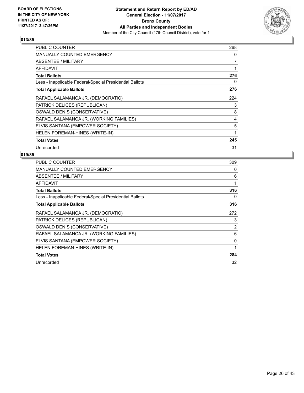

| <b>PUBLIC COUNTER</b>                                    | 268 |
|----------------------------------------------------------|-----|
| <b>MANUALLY COUNTED EMERGENCY</b>                        | 0   |
| ABSENTEE / MILITARY                                      | 7   |
| <b>AFFIDAVIT</b>                                         | 1   |
| <b>Total Ballots</b>                                     | 276 |
| Less - Inapplicable Federal/Special Presidential Ballots | 0   |
| <b>Total Applicable Ballots</b>                          | 276 |
| RAFAEL SALAMANCA JR. (DEMOCRATIC)                        | 224 |
| PATRICK DELICES (REPUBLICAN)                             | 3   |
| OSWALD DENIS (CONSERVATIVE)                              | 8   |
| RAFAEL SALAMANCA JR. (WORKING FAMILIES)                  | 4   |
| ELVIS SANTANA (EMPOWER SOCIETY)                          | 5   |
| HELEN FOREMAN-HINES (WRITE-IN)                           | 1   |
| <b>Total Votes</b>                                       | 245 |
| Unrecorded                                               | 31  |

| PUBLIC COUNTER                                           | 309 |
|----------------------------------------------------------|-----|
| <b>MANUALLY COUNTED EMERGENCY</b>                        | 0   |
| ABSENTEE / MILITARY                                      | 6   |
| AFFIDAVIT                                                | 1   |
| <b>Total Ballots</b>                                     | 316 |
| Less - Inapplicable Federal/Special Presidential Ballots | 0   |
| <b>Total Applicable Ballots</b>                          | 316 |
| RAFAEL SALAMANCA JR. (DEMOCRATIC)                        | 272 |
| PATRICK DELICES (REPUBLICAN)                             | 3   |
| OSWALD DENIS (CONSERVATIVE)                              | 2   |
| RAFAEL SALAMANCA JR. (WORKING FAMILIES)                  | 6   |
| ELVIS SANTANA (EMPOWER SOCIETY)                          | 0   |
| HELEN FOREMAN-HINES (WRITE-IN)                           |     |
| <b>Total Votes</b>                                       | 284 |
| Unrecorded                                               | 32  |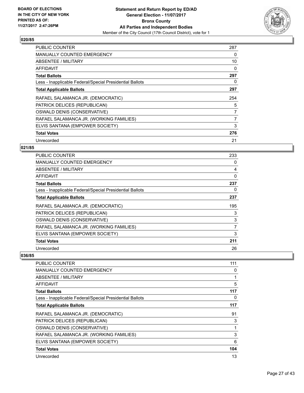

| <b>PUBLIC COUNTER</b>                                    | 287            |
|----------------------------------------------------------|----------------|
| <b>MANUALLY COUNTED EMERGENCY</b>                        | 0              |
| ABSENTEE / MILITARY                                      | 10             |
| <b>AFFIDAVIT</b>                                         | 0              |
| <b>Total Ballots</b>                                     | 297            |
| Less - Inapplicable Federal/Special Presidential Ballots | 0              |
| <b>Total Applicable Ballots</b>                          | 297            |
| RAFAEL SALAMANCA JR. (DEMOCRATIC)                        | 254            |
| PATRICK DELICES (REPUBLICAN)                             | 5              |
|                                                          | $\overline{7}$ |
| OSWALD DENIS (CONSERVATIVE)                              |                |
| RAFAEL SALAMANCA JR. (WORKING FAMILIES)                  | $\overline{7}$ |
| ELVIS SANTANA (EMPOWER SOCIETY)                          | 3              |
| <b>Total Votes</b>                                       | 276            |

## **021/85**

| <b>PUBLIC COUNTER</b>                                    | 233         |
|----------------------------------------------------------|-------------|
| <b>MANUALLY COUNTED EMERGENCY</b>                        | 0           |
| ABSENTEE / MILITARY                                      | 4           |
| AFFIDAVIT                                                | $\mathbf 0$ |
| <b>Total Ballots</b>                                     | 237         |
| Less - Inapplicable Federal/Special Presidential Ballots | 0           |
| <b>Total Applicable Ballots</b>                          | 237         |
| RAFAEL SALAMANCA JR. (DEMOCRATIC)                        | 195         |
| PATRICK DELICES (REPUBLICAN)                             | 3           |
| OSWALD DENIS (CONSERVATIVE)                              | 3           |
| RAFAEL SALAMANCA JR. (WORKING FAMILIES)                  | 7           |
| ELVIS SANTANA (EMPOWER SOCIETY)                          | 3           |
| <b>Total Votes</b>                                       | 211         |
| Unrecorded                                               | 26          |

| <b>PUBLIC COUNTER</b>                                    | 111 |
|----------------------------------------------------------|-----|
| <b>MANUALLY COUNTED EMERGENCY</b>                        | 0   |
| ABSENTEE / MILITARY                                      | 1   |
| AFFIDAVIT                                                | 5   |
| <b>Total Ballots</b>                                     | 117 |
| Less - Inapplicable Federal/Special Presidential Ballots | 0   |
| <b>Total Applicable Ballots</b>                          | 117 |
| RAFAEL SALAMANCA JR. (DEMOCRATIC)                        | 91  |
| PATRICK DELICES (REPUBLICAN)                             | 3   |
| OSWALD DENIS (CONSERVATIVE)                              | 1   |
| RAFAEL SALAMANCA JR. (WORKING FAMILIES)                  | 3   |
| ELVIS SANTANA (EMPOWER SOCIETY)                          | 6   |
| <b>Total Votes</b>                                       | 104 |
| Unrecorded                                               | 13  |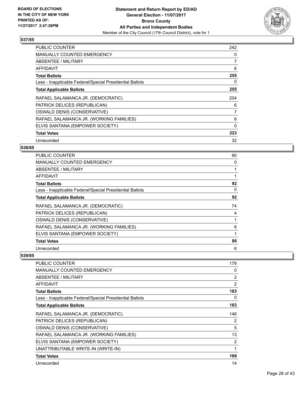

| <b>PUBLIC COUNTER</b>                                    | 242            |
|----------------------------------------------------------|----------------|
| <b>MANUALLY COUNTED EMERGENCY</b>                        | 0              |
| <b>ABSENTEE / MILITARY</b>                               | $\overline{7}$ |
| AFFIDAVIT                                                | 6              |
| <b>Total Ballots</b>                                     | 255            |
| Less - Inapplicable Federal/Special Presidential Ballots | 0              |
| <b>Total Applicable Ballots</b>                          | 255            |
| RAFAEL SALAMANCA JR. (DEMOCRATIC)                        | 204            |
| PATRICK DELICES (REPUBLICAN)                             | 6              |
| OSWALD DENIS (CONSERVATIVE)                              | 7              |
| RAFAEL SALAMANCA JR. (WORKING FAMILIES)                  | 6              |
| ELVIS SANTANA (EMPOWER SOCIETY)                          | 0              |
| <b>Total Votes</b>                                       | 223            |
| Unrecorded                                               | 32             |

## **038/85**

| PUBLIC COUNTER                                           | 90 |
|----------------------------------------------------------|----|
| <b>MANUALLY COUNTED EMERGENCY</b>                        | 0  |
| ABSENTEE / MILITARY                                      |    |
| AFFIDAVIT                                                |    |
| <b>Total Ballots</b>                                     | 92 |
| Less - Inapplicable Federal/Special Presidential Ballots | 0  |
| <b>Total Applicable Ballots</b>                          | 92 |
| RAFAEL SALAMANCA JR. (DEMOCRATIC)                        | 74 |
| PATRICK DELICES (REPUBLICAN)                             | 4  |
| OSWALD DENIS (CONSERVATIVE)                              |    |
| RAFAEL SALAMANCA JR. (WORKING FAMILIES)                  | 6  |
| ELVIS SANTANA (EMPOWER SOCIETY)                          |    |
| <b>Total Votes</b>                                       | 86 |
| Unrecorded                                               | 6  |

| PUBLIC COUNTER                                           | 179 |
|----------------------------------------------------------|-----|
| <b>MANUALLY COUNTED EMERGENCY</b>                        | 0   |
| <b>ABSENTEE / MILITARY</b>                               | 2   |
| AFFIDAVIT                                                | 2   |
| <b>Total Ballots</b>                                     | 183 |
| Less - Inapplicable Federal/Special Presidential Ballots | 0   |
| <b>Total Applicable Ballots</b>                          | 183 |
| RAFAEL SALAMANCA JR. (DEMOCRATIC)                        | 146 |
| PATRICK DELICES (REPUBLICAN)                             | 2   |
| OSWALD DENIS (CONSERVATIVE)                              | 5   |
| RAFAEL SALAMANCA JR. (WORKING FAMILIES)                  | 13  |
| ELVIS SANTANA (EMPOWER SOCIETY)                          | 2   |
| UNATTRIBUTABLE WRITE-IN (WRITE-IN)                       | 1   |
| <b>Total Votes</b>                                       | 169 |
| Unrecorded                                               | 14  |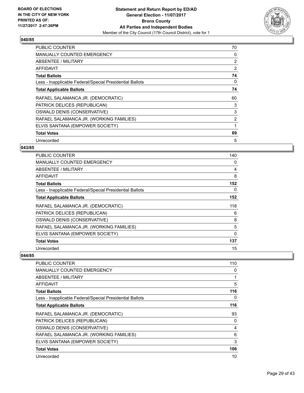

| PUBLIC COUNTER                                           | 70             |
|----------------------------------------------------------|----------------|
| <b>MANUALLY COUNTED EMERGENCY</b>                        | 0              |
| ABSENTEE / MILITARY                                      | $\overline{2}$ |
| AFFIDAVIT                                                | 2              |
| <b>Total Ballots</b>                                     | 74             |
| Less - Inapplicable Federal/Special Presidential Ballots | 0              |
| <b>Total Applicable Ballots</b>                          | 74             |
| RAFAEL SALAMANCA JR. (DEMOCRATIC)                        | 60             |
| PATRICK DELICES (REPUBLICAN)                             | 3              |
| OSWALD DENIS (CONSERVATIVE)                              | 3              |
| RAFAEL SALAMANCA JR. (WORKING FAMILIES)                  | $\overline{2}$ |
| ELVIS SANTANA (EMPOWER SOCIETY)                          |                |
| <b>Total Votes</b>                                       | 69             |
| Unrecorded                                               | 5              |

## **043/85**

| <b>PUBLIC COUNTER</b>                                    | 140 |
|----------------------------------------------------------|-----|
| <b>MANUALLY COUNTED EMERGENCY</b>                        | 0   |
| ABSENTEE / MILITARY                                      | 4   |
| AFFIDAVIT                                                | 8   |
| <b>Total Ballots</b>                                     | 152 |
| Less - Inapplicable Federal/Special Presidential Ballots | 0   |
| <b>Total Applicable Ballots</b>                          | 152 |
| RAFAEL SALAMANCA JR. (DEMOCRATIC)                        | 118 |
| PATRICK DELICES (REPUBLICAN)                             | 6   |
| OSWALD DENIS (CONSERVATIVE)                              | 8   |
| RAFAEL SALAMANCA JR. (WORKING FAMILIES)                  | 5   |
| ELVIS SANTANA (EMPOWER SOCIETY)                          | 0   |
| <b>Total Votes</b>                                       | 137 |
| Unrecorded                                               | 15  |

| <b>PUBLIC COUNTER</b>                                    | 110 |
|----------------------------------------------------------|-----|
| <b>MANUALLY COUNTED EMERGENCY</b>                        | 0   |
| ABSENTEE / MILITARY                                      |     |
| AFFIDAVIT                                                | 5   |
| <b>Total Ballots</b>                                     | 116 |
| Less - Inapplicable Federal/Special Presidential Ballots | 0   |
| <b>Total Applicable Ballots</b>                          | 116 |
| RAFAEL SALAMANCA JR. (DEMOCRATIC)                        | 93  |
| PATRICK DELICES (REPUBLICAN)                             | 0   |
| OSWALD DENIS (CONSERVATIVE)                              | 4   |
| RAFAEL SALAMANCA JR. (WORKING FAMILIES)                  | 6   |
| ELVIS SANTANA (EMPOWER SOCIETY)                          | 3   |
| <b>Total Votes</b>                                       | 106 |
| Unrecorded                                               | 10  |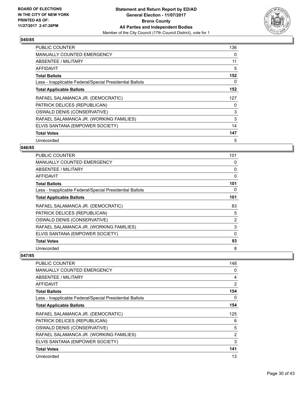

| <b>PUBLIC COUNTER</b>                                    | 136 |
|----------------------------------------------------------|-----|
| <b>MANUALLY COUNTED EMERGENCY</b>                        | 0   |
| ABSENTEE / MILITARY                                      | 11  |
| AFFIDAVIT                                                | 5   |
| <b>Total Ballots</b>                                     | 152 |
| Less - Inapplicable Federal/Special Presidential Ballots | 0   |
| <b>Total Applicable Ballots</b>                          | 152 |
| RAFAEL SALAMANCA JR. (DEMOCRATIC)                        | 127 |
| PATRICK DELICES (REPUBLICAN)                             | 0   |
| OSWALD DENIS (CONSERVATIVE)                              | 3   |
| RAFAEL SALAMANCA JR. (WORKING FAMILIES)                  | 3   |
| ELVIS SANTANA (EMPOWER SOCIETY)                          | 14  |
| <b>Total Votes</b>                                       | 147 |
| Unrecorded                                               | 5   |

#### **046/85**

| <b>PUBLIC COUNTER</b>                                    | 101      |
|----------------------------------------------------------|----------|
| <b>MANUALLY COUNTED EMERGENCY</b>                        | 0        |
| ABSENTEE / MILITARY                                      | 0        |
| AFFIDAVIT                                                | 0        |
| <b>Total Ballots</b>                                     | 101      |
| Less - Inapplicable Federal/Special Presidential Ballots | 0        |
| <b>Total Applicable Ballots</b>                          | 101      |
| RAFAEL SALAMANCA JR. (DEMOCRATIC)                        | 83       |
| PATRICK DELICES (REPUBLICAN)                             | 5        |
| OSWALD DENIS (CONSERVATIVE)                              | 2        |
| RAFAEL SALAMANCA JR. (WORKING FAMILIES)                  | 3        |
| ELVIS SANTANA (EMPOWER SOCIETY)                          | $\Omega$ |
| <b>Total Votes</b>                                       | 93       |
| Unrecorded                                               | 8        |

| <b>PUBLIC COUNTER</b>                                    | 148 |
|----------------------------------------------------------|-----|
| <b>MANUALLY COUNTED EMERGENCY</b>                        | 0   |
| ABSENTEE / MILITARY                                      | 4   |
| <b>AFFIDAVIT</b>                                         | 2   |
| <b>Total Ballots</b>                                     | 154 |
| Less - Inapplicable Federal/Special Presidential Ballots | 0   |
| <b>Total Applicable Ballots</b>                          | 154 |
| RAFAEL SALAMANCA JR. (DEMOCRATIC)                        | 125 |
| PATRICK DELICES (REPUBLICAN)                             | 6   |
| OSWALD DENIS (CONSERVATIVE)                              | 5   |
| RAFAEL SALAMANCA JR. (WORKING FAMILIES)                  | 2   |
| ELVIS SANTANA (EMPOWER SOCIETY)                          | 3   |
| <b>Total Votes</b>                                       | 141 |
| Unrecorded                                               | 13  |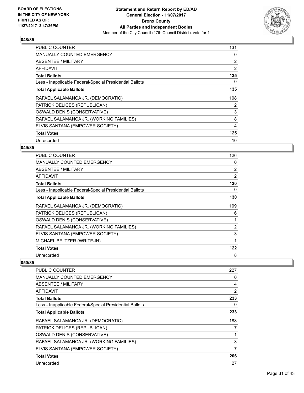

| PUBLIC COUNTER                                           | 131            |
|----------------------------------------------------------|----------------|
| <b>MANUALLY COUNTED EMERGENCY</b>                        | 0              |
| <b>ABSENTEE / MILITARY</b>                               | $\overline{2}$ |
| AFFIDAVIT                                                | 2              |
| <b>Total Ballots</b>                                     | 135            |
| Less - Inapplicable Federal/Special Presidential Ballots | 0              |
| <b>Total Applicable Ballots</b>                          | 135            |
| RAFAEL SALAMANCA JR. (DEMOCRATIC)                        | 108            |
| PATRICK DELICES (REPUBLICAN)                             | 2              |
| OSWALD DENIS (CONSERVATIVE)                              | 3              |
| RAFAEL SALAMANCA JR. (WORKING FAMILIES)                  | 8              |
| ELVIS SANTANA (EMPOWER SOCIETY)                          | 4              |
| <b>Total Votes</b>                                       | 125            |
| Unrecorded                                               | 10             |

## **049/85**

| <b>PUBLIC COUNTER</b>                                    | 126            |
|----------------------------------------------------------|----------------|
| <b>MANUALLY COUNTED EMERGENCY</b>                        | 0              |
| ABSENTEE / MILITARY                                      | $\overline{2}$ |
| AFFIDAVIT                                                | 2              |
| <b>Total Ballots</b>                                     | 130            |
| Less - Inapplicable Federal/Special Presidential Ballots | 0              |
| <b>Total Applicable Ballots</b>                          | 130            |
| RAFAEL SALAMANCA JR. (DEMOCRATIC)                        | 109            |
| PATRICK DELICES (REPUBLICAN)                             | 6              |
| OSWALD DENIS (CONSERVATIVE)                              | 1              |
| RAFAEL SALAMANCA JR. (WORKING FAMILIES)                  | $\overline{2}$ |
| ELVIS SANTANA (EMPOWER SOCIETY)                          | 3              |
| MICHAEL BELTZER (WRITE-IN)                               | 1              |
| <b>Total Votes</b>                                       | 122            |
| Unrecorded                                               | 8              |

| <b>PUBLIC COUNTER</b>                                    | 227            |
|----------------------------------------------------------|----------------|
| <b>MANUALLY COUNTED EMERGENCY</b>                        | 0              |
| ABSENTEE / MILITARY                                      | 4              |
| AFFIDAVIT                                                | $\overline{2}$ |
| <b>Total Ballots</b>                                     | 233            |
| Less - Inapplicable Federal/Special Presidential Ballots | 0              |
| <b>Total Applicable Ballots</b>                          | 233            |
| RAFAEL SALAMANCA JR. (DEMOCRATIC)                        | 188            |
| PATRICK DELICES (REPUBLICAN)                             | 7              |
| OSWALD DENIS (CONSERVATIVE)                              | 1              |
| RAFAEL SALAMANCA JR. (WORKING FAMILIES)                  | 3              |
| ELVIS SANTANA (EMPOWER SOCIETY)                          | 7              |
| <b>Total Votes</b>                                       | 206            |
| Unrecorded                                               | 27             |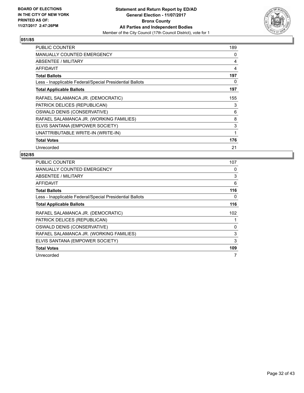

| <b>PUBLIC COUNTER</b>                                    | 189 |
|----------------------------------------------------------|-----|
| MANUALLY COUNTED EMERGENCY                               | 0   |
| ABSENTEE / MILITARY                                      | 4   |
| <b>AFFIDAVIT</b>                                         | 4   |
| <b>Total Ballots</b>                                     | 197 |
| Less - Inapplicable Federal/Special Presidential Ballots | 0   |
| <b>Total Applicable Ballots</b>                          | 197 |
| RAFAEL SALAMANCA JR. (DEMOCRATIC)                        | 155 |
| PATRICK DELICES (REPUBLICAN)                             | 3   |
| OSWALD DENIS (CONSERVATIVE)                              | 6   |
| RAFAEL SALAMANCA JR. (WORKING FAMILIES)                  | 8   |
| ELVIS SANTANA (EMPOWER SOCIETY)                          | 3   |
| UNATTRIBUTABLE WRITE-IN (WRITE-IN)                       | 1   |
| <b>Total Votes</b>                                       | 176 |
| Unrecorded                                               | 21  |

| <b>PUBLIC COUNTER</b>                                    | 107 |
|----------------------------------------------------------|-----|
| <b>MANUALLY COUNTED EMERGENCY</b>                        | 0   |
| <b>ABSENTEE / MILITARY</b>                               | 3   |
| AFFIDAVIT                                                | 6   |
| <b>Total Ballots</b>                                     | 116 |
| Less - Inapplicable Federal/Special Presidential Ballots | 0   |
| <b>Total Applicable Ballots</b>                          | 116 |
| RAFAEL SALAMANCA JR. (DEMOCRATIC)                        | 102 |
| PATRICK DELICES (REPUBLICAN)                             |     |
| OSWALD DENIS (CONSERVATIVE)                              | 0   |
| RAFAEL SALAMANCA JR. (WORKING FAMILIES)                  | 3   |
| ELVIS SANTANA (EMPOWER SOCIETY)                          | 3   |
| <b>Total Votes</b>                                       | 109 |
| Unrecorded                                               | 7   |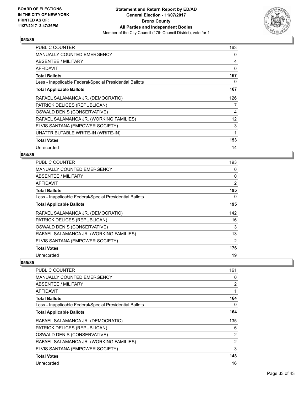

| <b>PUBLIC COUNTER</b>                                    | 163 |
|----------------------------------------------------------|-----|
| <b>MANUALLY COUNTED EMERGENCY</b>                        | 0   |
| ABSENTEE / MILITARY                                      | 4   |
| AFFIDAVIT                                                | 0   |
| <b>Total Ballots</b>                                     | 167 |
| Less - Inapplicable Federal/Special Presidential Ballots | 0   |
| <b>Total Applicable Ballots</b>                          | 167 |
| RAFAEL SALAMANCA JR. (DEMOCRATIC)                        | 126 |
| PATRICK DELICES (REPUBLICAN)                             | 7   |
| OSWALD DENIS (CONSERVATIVE)                              | 4   |
| RAFAEL SALAMANCA JR. (WORKING FAMILIES)                  | 12  |
| ELVIS SANTANA (EMPOWER SOCIETY)                          | 3   |
| UNATTRIBUTABLE WRITE-IN (WRITE-IN)                       | 1   |
| <b>Total Votes</b>                                       | 153 |
| Unrecorded                                               | 14  |

## **054/85**

| <b>PUBLIC COUNTER</b>                                    | 193 |
|----------------------------------------------------------|-----|
| <b>MANUALLY COUNTED EMERGENCY</b>                        | 0   |
| ABSENTEE / MILITARY                                      | 0   |
| AFFIDAVIT                                                | 2   |
| <b>Total Ballots</b>                                     | 195 |
| Less - Inapplicable Federal/Special Presidential Ballots | 0   |
| <b>Total Applicable Ballots</b>                          | 195 |
| RAFAEL SALAMANCA JR. (DEMOCRATIC)                        | 142 |
| PATRICK DELICES (REPUBLICAN)                             | 16  |
| OSWALD DENIS (CONSERVATIVE)                              | 3   |
| RAFAEL SALAMANCA JR. (WORKING FAMILIES)                  | 13  |
| ELVIS SANTANA (EMPOWER SOCIETY)                          | 2   |
| <b>Total Votes</b>                                       | 176 |
| Unrecorded                                               | 19  |

| PUBLIC COUNTER                                           | 161            |
|----------------------------------------------------------|----------------|
| MANUALLY COUNTED EMERGENCY                               | 0              |
| ABSENTEE / MILITARY                                      | $\overline{2}$ |
| <b>AFFIDAVIT</b>                                         | 1              |
| <b>Total Ballots</b>                                     | 164            |
| Less - Inapplicable Federal/Special Presidential Ballots | 0              |
| <b>Total Applicable Ballots</b>                          | 164            |
| RAFAEL SALAMANCA JR. (DEMOCRATIC)                        | 135            |
| PATRICK DELICES (REPUBLICAN)                             | 6              |
| OSWALD DENIS (CONSERVATIVE)                              | $\overline{2}$ |
| RAFAEL SALAMANCA JR. (WORKING FAMILIES)                  | $\overline{2}$ |
| ELVIS SANTANA (EMPOWER SOCIETY)                          | 3              |
| <b>Total Votes</b>                                       | 148            |
| Unrecorded                                               | 16             |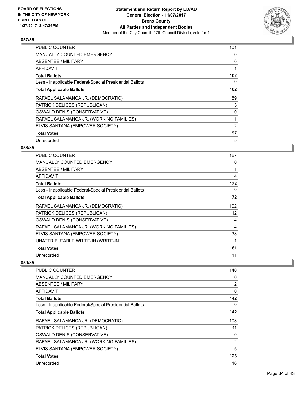

| PUBLIC COUNTER                                           | 101 |
|----------------------------------------------------------|-----|
| <b>MANUALLY COUNTED EMERGENCY</b>                        | 0   |
| ABSENTEE / MILITARY                                      | 0   |
| AFFIDAVIT                                                |     |
| <b>Total Ballots</b>                                     | 102 |
| Less - Inapplicable Federal/Special Presidential Ballots | 0   |
| <b>Total Applicable Ballots</b>                          | 102 |
| RAFAEL SALAMANCA JR. (DEMOCRATIC)                        | 89  |
| PATRICK DELICES (REPUBLICAN)                             | 5   |
| OSWALD DENIS (CONSERVATIVE)                              | 0   |
| RAFAEL SALAMANCA JR. (WORKING FAMILIES)                  |     |
| ELVIS SANTANA (EMPOWER SOCIETY)                          | 2   |
| <b>Total Votes</b>                                       | 97  |
| Unrecorded                                               | 5   |

## **058/85**

| <b>PUBLIC COUNTER</b>                                    | 167 |
|----------------------------------------------------------|-----|
| <b>MANUALLY COUNTED EMERGENCY</b>                        | 0   |
| ABSENTEE / MILITARY                                      |     |
| AFFIDAVIT                                                | 4   |
| <b>Total Ballots</b>                                     | 172 |
| Less - Inapplicable Federal/Special Presidential Ballots | 0   |
| <b>Total Applicable Ballots</b>                          | 172 |
| RAFAEL SALAMANCA JR. (DEMOCRATIC)                        | 102 |
| PATRICK DELICES (REPUBLICAN)                             | 12  |
| OSWALD DENIS (CONSERVATIVE)                              | 4   |
| RAFAEL SALAMANCA JR. (WORKING FAMILIES)                  | 4   |
| ELVIS SANTANA (EMPOWER SOCIETY)                          | 38  |
| UNATTRIBUTABLE WRITE-IN (WRITE-IN)                       |     |
| <b>Total Votes</b>                                       | 161 |
| Unrecorded                                               | 11  |

| <b>PUBLIC COUNTER</b>                                    | 140            |
|----------------------------------------------------------|----------------|
| <b>MANUALLY COUNTED EMERGENCY</b>                        | 0              |
| ABSENTEE / MILITARY                                      | $\overline{2}$ |
| AFFIDAVIT                                                | $\Omega$       |
| <b>Total Ballots</b>                                     | 142            |
| Less - Inapplicable Federal/Special Presidential Ballots | 0              |
| <b>Total Applicable Ballots</b>                          | 142            |
| RAFAEL SALAMANCA JR. (DEMOCRATIC)                        | 108            |
| PATRICK DELICES (REPUBLICAN)                             | 11             |
| OSWALD DENIS (CONSERVATIVE)                              | 0              |
| RAFAEL SALAMANCA JR. (WORKING FAMILIES)                  | 2              |
| ELVIS SANTANA (EMPOWER SOCIETY)                          | 5              |
| <b>Total Votes</b>                                       | 126            |
| Unrecorded                                               | 16             |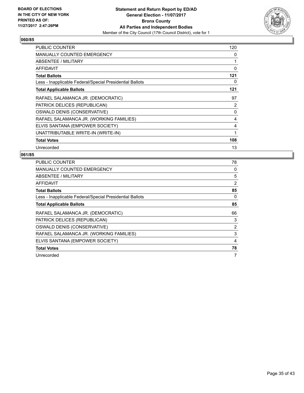

| <b>PUBLIC COUNTER</b>                                    | 120          |
|----------------------------------------------------------|--------------|
| <b>MANUALLY COUNTED EMERGENCY</b>                        | 0            |
| ABSENTEE / MILITARY                                      | 1            |
| <b>AFFIDAVIT</b>                                         | $\Omega$     |
| <b>Total Ballots</b>                                     | 121          |
| Less - Inapplicable Federal/Special Presidential Ballots | 0            |
| <b>Total Applicable Ballots</b>                          | 121          |
| RAFAEL SALAMANCA JR. (DEMOCRATIC)                        | 97           |
| PATRICK DELICES (REPUBLICAN)                             | 2            |
| OSWALD DENIS (CONSERVATIVE)                              | 0            |
| RAFAEL SALAMANCA JR. (WORKING FAMILIES)                  | 4            |
| ELVIS SANTANA (EMPOWER SOCIETY)                          | 4            |
| UNATTRIBUTABLE WRITE-IN (WRITE-IN)                       | $\mathbf{1}$ |
| <b>Total Votes</b>                                       | 108          |
| Unrecorded                                               | 13           |

| <b>PUBLIC COUNTER</b>                                    | 78             |
|----------------------------------------------------------|----------------|
| <b>MANUALLY COUNTED EMERGENCY</b>                        | 0              |
| <b>ABSENTEE / MILITARY</b>                               | 5              |
| AFFIDAVIT                                                | $\overline{2}$ |
| <b>Total Ballots</b>                                     | 85             |
| Less - Inapplicable Federal/Special Presidential Ballots | 0              |
| <b>Total Applicable Ballots</b>                          | 85             |
| RAFAEL SALAMANCA JR. (DEMOCRATIC)                        | 66             |
| PATRICK DELICES (REPUBLICAN)                             | 3              |
| OSWALD DENIS (CONSERVATIVE)                              | $\overline{2}$ |
| RAFAEL SALAMANCA JR. (WORKING FAMILIES)                  | 3              |
|                                                          |                |
| ELVIS SANTANA (EMPOWER SOCIETY)                          | 4              |
| <b>Total Votes</b>                                       | 78             |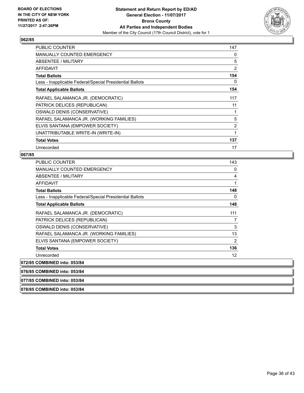

| <b>PUBLIC COUNTER</b>                                    | 147 |
|----------------------------------------------------------|-----|
| MANUALLY COUNTED EMERGENCY                               | 0   |
| ABSENTEE / MILITARY                                      | 5   |
| <b>AFFIDAVIT</b>                                         | 2   |
| <b>Total Ballots</b>                                     | 154 |
| Less - Inapplicable Federal/Special Presidential Ballots | 0   |
| <b>Total Applicable Ballots</b>                          | 154 |
| RAFAEL SALAMANCA JR. (DEMOCRATIC)                        | 117 |
| PATRICK DELICES (REPUBLICAN)                             | 11  |
| OSWALD DENIS (CONSERVATIVE)                              | 1   |
| RAFAEL SALAMANCA JR. (WORKING FAMILIES)                  | 5   |
| ELVIS SANTANA (EMPOWER SOCIETY)                          | 2   |
| UNATTRIBUTABLE WRITE-IN (WRITE-IN)                       | 1   |
| <b>Total Votes</b>                                       | 137 |
| Unrecorded                                               | 17  |

## **067/85**

| <b>PUBLIC COUNTER</b>                                    | 143            |
|----------------------------------------------------------|----------------|
| MANUALLY COUNTED EMERGENCY                               | 0              |
| ABSENTEE / MILITARY                                      | 4              |
| <b>AFFIDAVIT</b>                                         | 1              |
| <b>Total Ballots</b>                                     | 148            |
| Less - Inapplicable Federal/Special Presidential Ballots | 0              |
| <b>Total Applicable Ballots</b>                          | 148            |
| RAFAEL SALAMANCA JR. (DEMOCRATIC)                        | 111            |
| PATRICK DELICES (REPUBLICAN)                             | 7              |
| OSWALD DENIS (CONSERVATIVE)                              | 3              |
| RAFAEL SALAMANCA JR. (WORKING FAMILIES)                  | 13             |
| ELVIS SANTANA (EMPOWER SOCIETY)                          | $\overline{2}$ |
| <b>Total Votes</b>                                       | 136            |
| Unrecorded                                               | 12             |
| <b>COMBINED into: 053/84</b>                             |                |

072/85

**076/85 COMBINED into: 053/84**

**077/85 COMBINED into: 053/84**

**078/85 COMBINED into: 053/84**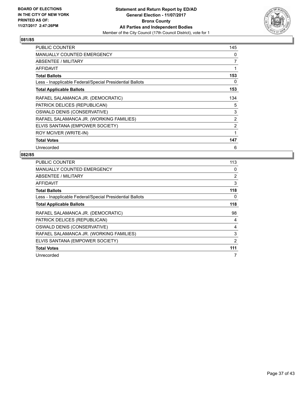

| PUBLIC COUNTER                                           | 145 |
|----------------------------------------------------------|-----|
| MANUALLY COUNTED EMERGENCY                               | 0   |
| ABSENTEE / MILITARY                                      | 7   |
| <b>AFFIDAVIT</b>                                         | 1   |
| <b>Total Ballots</b>                                     | 153 |
| Less - Inapplicable Federal/Special Presidential Ballots | 0   |
| <b>Total Applicable Ballots</b>                          | 153 |
| RAFAEL SALAMANCA JR. (DEMOCRATIC)                        | 134 |
| PATRICK DELICES (REPUBLICAN)                             | 5   |
| OSWALD DENIS (CONSERVATIVE)                              | 3   |
| RAFAEL SALAMANCA JR. (WORKING FAMILIES)                  | 2   |
| ELVIS SANTANA (EMPOWER SOCIETY)                          | 2   |
| ROY MCIVER (WRITE-IN)                                    | 1   |
| <b>Total Votes</b>                                       | 147 |
| Unrecorded                                               | 6   |

| <b>PUBLIC COUNTER</b>                                    | 113            |
|----------------------------------------------------------|----------------|
| <b>MANUALLY COUNTED EMERGENCY</b>                        | 0              |
| <b>ABSENTEE / MILITARY</b>                               | $\overline{2}$ |
| AFFIDAVIT                                                | 3              |
| <b>Total Ballots</b>                                     | 118            |
| Less - Inapplicable Federal/Special Presidential Ballots | 0              |
| <b>Total Applicable Ballots</b>                          | 118            |
| RAFAEL SALAMANCA JR. (DEMOCRATIC)                        | 98             |
| PATRICK DELICES (REPUBLICAN)                             | 4              |
| OSWALD DENIS (CONSERVATIVE)                              | 4              |
| RAFAEL SALAMANCA JR. (WORKING FAMILIES)                  | 3              |
| ELVIS SANTANA (EMPOWER SOCIETY)                          | 2              |
| <b>Total Votes</b>                                       | 111            |
| Unrecorded                                               | 7              |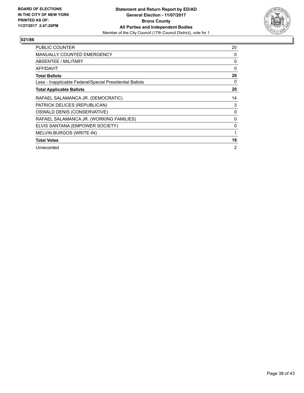

| <b>PUBLIC COUNTER</b>                                    | 20             |
|----------------------------------------------------------|----------------|
| <b>MANUALLY COUNTED EMERGENCY</b>                        | 0              |
| <b>ABSENTEE / MILITARY</b>                               | 0              |
| AFFIDAVIT                                                | 0              |
| <b>Total Ballots</b>                                     | 20             |
| Less - Inapplicable Federal/Special Presidential Ballots | 0              |
| <b>Total Applicable Ballots</b>                          | 20             |
| RAFAEL SALAMANCA JR. (DEMOCRATIC)                        | 14             |
| PATRICK DELICES (REPUBLICAN)                             | 3              |
| OSWALD DENIS (CONSERVATIVE)                              | 0              |
| RAFAEL SALAMANCA JR. (WORKING FAMILIES)                  | 0              |
| ELVIS SANTANA (EMPOWER SOCIETY)                          | 0              |
| MELVIN BURGOS (WRITE-IN)                                 | 1              |
| <b>Total Votes</b>                                       | 18             |
| Unrecorded                                               | $\overline{2}$ |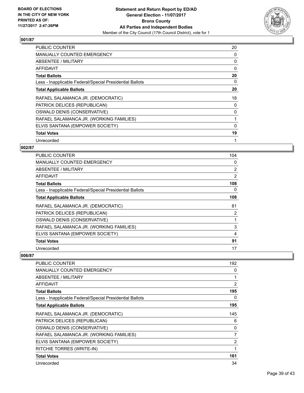

| <b>PUBLIC COUNTER</b>                                    | 20 |
|----------------------------------------------------------|----|
| MANUALLY COUNTED EMERGENCY                               | 0  |
| ABSENTEE / MILITARY                                      | 0  |
| AFFIDAVIT                                                | 0  |
| <b>Total Ballots</b>                                     | 20 |
| Less - Inapplicable Federal/Special Presidential Ballots | 0  |
| <b>Total Applicable Ballots</b>                          | 20 |
| RAFAEL SALAMANCA JR. (DEMOCRATIC)                        | 18 |
| PATRICK DELICES (REPUBLICAN)                             | 0  |
| OSWALD DENIS (CONSERVATIVE)                              | 0  |
| RAFAEL SALAMANCA JR. (WORKING FAMILIES)                  | 1  |
| ELVIS SANTANA (EMPOWER SOCIETY)                          | 0  |
| <b>Total Votes</b>                                       | 19 |
| Unrecorded                                               | 1  |

## **002/87**

| <b>PUBLIC COUNTER</b>                                    | 104 |
|----------------------------------------------------------|-----|
| MANUALLY COUNTED EMERGENCY                               | 0   |
| ABSENTEE / MILITARY                                      | 2   |
| AFFIDAVIT                                                | 2   |
| <b>Total Ballots</b>                                     | 108 |
| Less - Inapplicable Federal/Special Presidential Ballots | 0   |
| <b>Total Applicable Ballots</b>                          | 108 |
| RAFAEL SALAMANCA JR. (DEMOCRATIC)                        | 81  |
| PATRICK DELICES (REPUBLICAN)                             | 2   |
| OSWALD DENIS (CONSERVATIVE)                              | 1   |
| RAFAEL SALAMANCA JR. (WORKING FAMILIES)                  | 3   |
| ELVIS SANTANA (EMPOWER SOCIETY)                          | 4   |
| <b>Total Votes</b>                                       | 91  |
| Unrecorded                                               | 17  |

| PUBLIC COUNTER                                           | 192            |
|----------------------------------------------------------|----------------|
| <b>MANUALLY COUNTED EMERGENCY</b>                        | 0              |
| ABSENTEE / MILITARY                                      | 1              |
| <b>AFFIDAVIT</b>                                         | $\overline{2}$ |
| <b>Total Ballots</b>                                     | 195            |
| Less - Inapplicable Federal/Special Presidential Ballots | 0              |
| <b>Total Applicable Ballots</b>                          | 195            |
| RAFAEL SALAMANCA JR. (DEMOCRATIC)                        | 145            |
| PATRICK DELICES (REPUBLICAN)                             | 6              |
| OSWALD DENIS (CONSERVATIVE)                              | 0              |
| RAFAEL SALAMANCA JR. (WORKING FAMILIES)                  | 7              |
| ELVIS SANTANA (EMPOWER SOCIETY)                          | 2              |
| RITCHIE TORRES (WRITE-IN)                                | 1              |
| <b>Total Votes</b>                                       | 161            |
| Unrecorded                                               | 34             |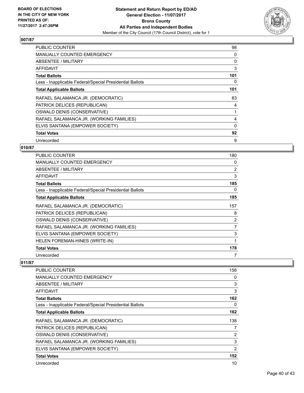

| <b>PUBLIC COUNTER</b>                                    | 98  |
|----------------------------------------------------------|-----|
| <b>MANUALLY COUNTED EMERGENCY</b>                        | 0   |
| <b>ABSENTEE / MILITARY</b>                               | 0   |
| AFFIDAVIT                                                | 3   |
| <b>Total Ballots</b>                                     | 101 |
| Less - Inapplicable Federal/Special Presidential Ballots | 0   |
| <b>Total Applicable Ballots</b>                          | 101 |
| RAFAEL SALAMANCA JR. (DEMOCRATIC)                        | 83  |
| PATRICK DELICES (REPUBLICAN)                             | 4   |
| OSWALD DENIS (CONSERVATIVE)                              |     |
| RAFAEL SALAMANCA JR. (WORKING FAMILIES)                  | 4   |
| ELVIS SANTANA (EMPOWER SOCIETY)                          | 0   |
| <b>Total Votes</b>                                       | 92  |
| Unrecorded                                               | 9   |

## **010/87**

| <b>PUBLIC COUNTER</b>                                    | 180 |
|----------------------------------------------------------|-----|
| <b>MANUALLY COUNTED EMERGENCY</b>                        | 0   |
| ABSENTEE / MILITARY                                      | 2   |
| AFFIDAVIT                                                | 3   |
| <b>Total Ballots</b>                                     | 185 |
| Less - Inapplicable Federal/Special Presidential Ballots | 0   |
| <b>Total Applicable Ballots</b>                          | 185 |
| RAFAEL SALAMANCA JR. (DEMOCRATIC)                        | 157 |
| PATRICK DELICES (REPUBLICAN)                             | 8   |
| OSWALD DENIS (CONSERVATIVE)                              | 2   |
| RAFAEL SALAMANCA JR. (WORKING FAMILIES)                  | 7   |
| ELVIS SANTANA (EMPOWER SOCIETY)                          | 3   |
| HELEN FOREMAN-HINES (WRITE-IN)                           | 1   |
| <b>Total Votes</b>                                       | 178 |
| Unrecorded                                               | 7   |

| <b>PUBLIC COUNTER</b>                                    | 156            |
|----------------------------------------------------------|----------------|
| <b>MANUALLY COUNTED EMERGENCY</b>                        | 0              |
| ABSENTEE / MILITARY                                      | 3              |
| <b>AFFIDAVIT</b>                                         | 3              |
| <b>Total Ballots</b>                                     | 162            |
| Less - Inapplicable Federal/Special Presidential Ballots | 0              |
| <b>Total Applicable Ballots</b>                          | 162            |
| RAFAEL SALAMANCA JR. (DEMOCRATIC)                        | 138            |
| PATRICK DELICES (REPUBLICAN)                             | 7              |
| OSWALD DENIS (CONSERVATIVE)                              | 2              |
| RAFAEL SALAMANCA JR. (WORKING FAMILIES)                  | 3              |
| ELVIS SANTANA (EMPOWER SOCIETY)                          | $\overline{2}$ |
| <b>Total Votes</b>                                       | 152            |
| Unrecorded                                               | 10             |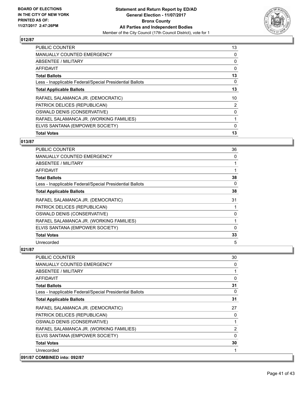

| <b>Total Votes</b>                                       | 13 |
|----------------------------------------------------------|----|
| ELVIS SANTANA (EMPOWER SOCIETY)                          | 0  |
| RAFAEL SALAMANCA JR. (WORKING FAMILIES)                  |    |
| OSWALD DENIS (CONSERVATIVE)                              | 0  |
| PATRICK DELICES (REPUBLICAN)                             | 2  |
| RAFAEL SALAMANCA JR. (DEMOCRATIC)                        | 10 |
| <b>Total Applicable Ballots</b>                          | 13 |
| Less - Inapplicable Federal/Special Presidential Ballots | 0  |
| <b>Total Ballots</b>                                     | 13 |
| AFFIDAVIT                                                | 0  |
| ABSENTEE / MILITARY                                      | 0  |
| <b>MANUALLY COUNTED EMERGENCY</b>                        | 0  |
| <b>PUBLIC COUNTER</b>                                    | 13 |

# **013/87**

| <b>PUBLIC COUNTER</b>                                    | 36 |
|----------------------------------------------------------|----|
| MANUALLY COUNTED EMERGENCY                               | 0  |
| ABSENTEE / MILITARY                                      |    |
| AFFIDAVIT                                                |    |
| <b>Total Ballots</b>                                     | 38 |
| Less - Inapplicable Federal/Special Presidential Ballots | 0  |
| <b>Total Applicable Ballots</b>                          | 38 |
| RAFAEL SALAMANCA JR. (DEMOCRATIC)                        | 31 |
| PATRICK DELICES (REPUBLICAN)                             |    |
| OSWALD DENIS (CONSERVATIVE)                              | 0  |
| RAFAEL SALAMANCA JR. (WORKING FAMILIES)                  |    |
| ELVIS SANTANA (EMPOWER SOCIETY)                          | 0  |
| <b>Total Votes</b>                                       | 33 |
| Unrecorded                                               | 5  |

| <b>PUBLIC COUNTER</b>                                    | 30 |
|----------------------------------------------------------|----|
| <b>MANUALLY COUNTED EMERGENCY</b>                        | 0  |
| ABSENTEE / MILITARY                                      | 1  |
| AFFIDAVIT                                                | 0  |
| <b>Total Ballots</b>                                     | 31 |
| Less - Inapplicable Federal/Special Presidential Ballots | 0  |
| <b>Total Applicable Ballots</b>                          | 31 |
| RAFAEL SALAMANCA JR. (DEMOCRATIC)                        | 27 |
| PATRICK DELICES (REPUBLICAN)                             | 0  |
| OSWALD DENIS (CONSERVATIVE)                              | 1  |
| RAFAEL SALAMANCA JR. (WORKING FAMILIES)                  | 2  |
| ELVIS SANTANA (EMPOWER SOCIETY)                          | 0  |
| <b>Total Votes</b>                                       | 30 |
| Unrecorded                                               |    |
| 091/87 COMBINED into: 092/87                             |    |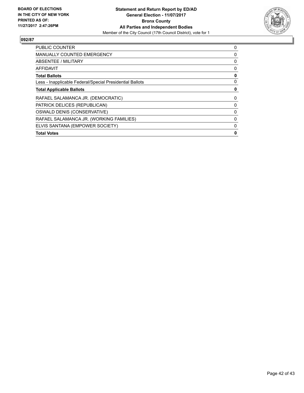

| <b>PUBLIC COUNTER</b>                                    | 0 |
|----------------------------------------------------------|---|
| <b>MANUALLY COUNTED EMERGENCY</b>                        | 0 |
| ABSENTEE / MILITARY                                      | 0 |
| <b>AFFIDAVIT</b>                                         | 0 |
| <b>Total Ballots</b>                                     | 0 |
| Less - Inapplicable Federal/Special Presidential Ballots | 0 |
| <b>Total Applicable Ballots</b>                          | 0 |
| RAFAEL SALAMANCA JR. (DEMOCRATIC)                        | 0 |
| PATRICK DELICES (REPUBLICAN)                             | 0 |
| OSWALD DENIS (CONSERVATIVE)                              | 0 |
| RAFAEL SALAMANCA JR. (WORKING FAMILIES)                  | 0 |
| ELVIS SANTANA (EMPOWER SOCIETY)                          | 0 |
| <b>Total Votes</b>                                       | 0 |